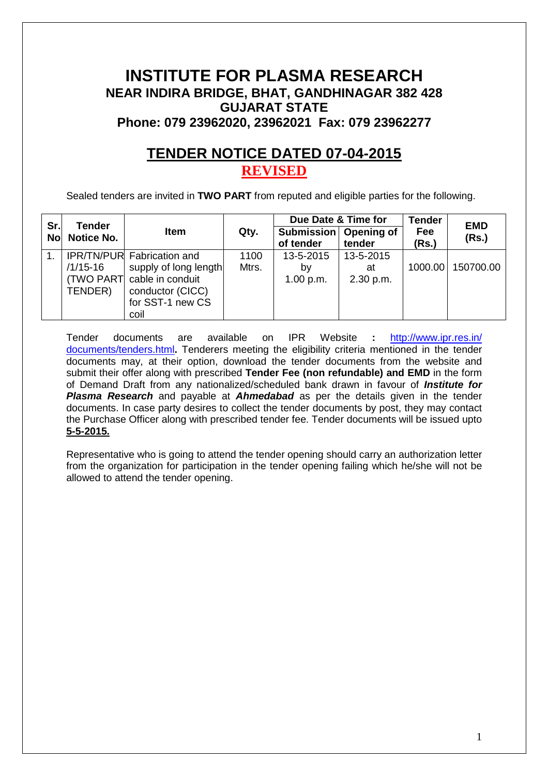# **INSTITUTE FOR PLASMA RESEARCH NEAR INDIRA BRIDGE, BHAT, GANDHINAGAR 382 428 GUJARAT STATE Phone: 079 23962020, 23962021 Fax: 079 23962277**

# **TENDER NOTICE DATED 07-04-2015 REVISED**

Sealed tenders are invited in **TWO PART** from reputed and eligible parties for the following.

| Sr.       | <b>Tender</b>     |                                   |       | Due Date & Time for            |                      | <b>Tender</b> | <b>EMD</b> |
|-----------|-------------------|-----------------------------------|-------|--------------------------------|----------------------|---------------|------------|
| <b>No</b> | <b>Notice No.</b> | Item                              | Qty.  | <b>Submission</b><br>of tender | Opening of<br>tender | Fee<br>(Rs.)  | (Rs.)      |
|           |                   | <b>IPR/TN/PUR Fabrication and</b> | 1100  | 13-5-2015                      | 13-5-2015            |               |            |
|           | $/1/15 - 16$      | supply of long length             | Mtrs. | bv                             | at                   | 1000.00       | 150700.00  |
|           |                   | (TWO PART) cable in conduit       |       | 1.00 p.m.                      | 2.30 p.m.            |               |            |
|           | TENDER)           | conductor (CICC)                  |       |                                |                      |               |            |
|           |                   | for SST-1 new CS                  |       |                                |                      |               |            |
|           |                   | coil                              |       |                                |                      |               |            |

Tender documents are available on IPR Website **:** http://www.ipr.res.in/ documents/tenders.html**.** Tenderers meeting the eligibility criteria mentioned in the tender documents may, at their option, download the tender documents from the website and submit their offer along with prescribed **Tender Fee (non refundable) and EMD** in the form of Demand Draft from any nationalized/scheduled bank drawn in favour of **Institute for Plasma Research** and payable at **Ahmedabad** as per the details given in the tender documents. In case party desires to collect the tender documents by post, they may contact the Purchase Officer along with prescribed tender fee. Tender documents will be issued upto **5-5-2015.**

Representative who is going to attend the tender opening should carry an authorization letter from the organization for participation in the tender opening failing which he/she will not be allowed to attend the tender opening.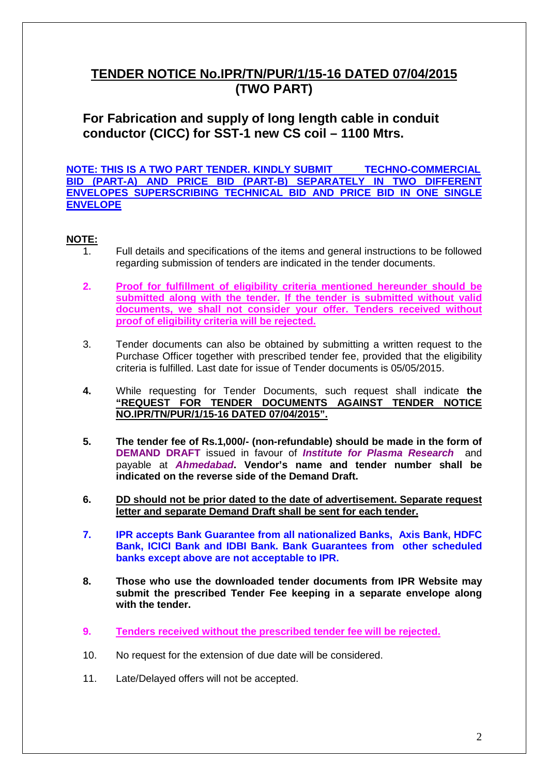# **TENDER NOTICE No.IPR/TN/PUR/1/15-16 DATED 07/04/2015 (TWO PART)**

**For Fabrication and supply of long length cable in conduit conductor (CICC) for SST-1 new CS coil – 1100 Mtrs.**

**NOTE: THIS IS A TWO PART TENDER. KINDLY SUBMIT TECHNO-COMMERCIAL BID (PART-A) AND PRICE BID (PART-B) SEPARATELY IN TWO DIFFERENT ENVELOPES SUPERSCRIBING TECHNICAL BID AND PRICE BID IN ONE SINGLE ENVELOPE** 

# **NOTE:**

- 1. Full details and specifications of the items and general instructions to be followed regarding submission of tenders are indicated in the tender documents.
- **2. Proof for fulfillment of eligibility criteria mentioned hereunder should be submitted along with the tender. If the tender is submitted without valid documents, we shall not consider your offer. Tenders received without proof of eligibility criteria will be rejected.**
- 3. Tender documents can also be obtained by submitting a written request to the Purchase Officer together with prescribed tender fee, provided that the eligibility criteria is fulfilled. Last date for issue of Tender documents is 05/05/2015.
- **4.** While requesting for Tender Documents, such request shall indicate **the "REQUEST FOR TENDER DOCUMENTS AGAINST TENDER NOTICE NO.IPR/TN/PUR/1/15-16 DATED 07/04/2015".**
- **5. The tender fee of Rs.1,000/- (non-refundable) should be made in the form of DEMAND DRAFT** issued in favour of **Institute for Plasma Research** and payable at **Ahmedabad. Vendor's name and tender number shall be indicated on the reverse side of the Demand Draft.**
- **6. DD should not be prior dated to the date of advertisement. Separate request letter and separate Demand Draft shall be sent for each tender.**
- **7. IPR accepts Bank Guarantee from all nationalized Banks, Axis Bank, HDFC Bank, ICICI Bank and IDBI Bank. Bank Guarantees from other scheduled banks except above are not acceptable to IPR.**
- **8. Those who use the downloaded tender documents from IPR Website may submit the prescribed Tender Fee keeping in a separate envelope along with the tender.**
- **9. Tenders received without the prescribed tender fee will be rejected.**
- 10. No request for the extension of due date will be considered.
- 11. Late/Delayed offers will not be accepted.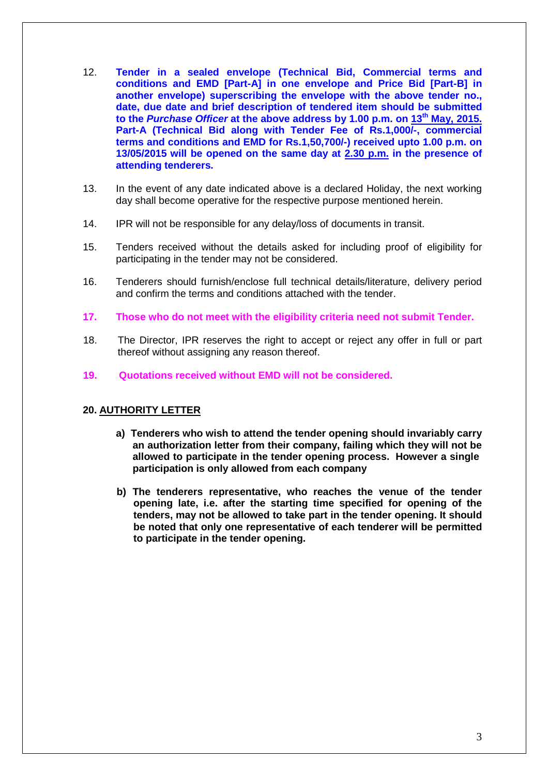- 12. **Tender in a sealed envelope (Technical Bid, Commercial terms and conditions and EMD [Part-A] in one envelope and Price Bid [Part-B] in another envelope) superscribing the envelope with the above tender no., date, due date and brief description of tendered item should be submitted to the Purchase Officer at the above address by 1.00 p.m. on 13th May, 2015. Part-A (Technical Bid along with Tender Fee of Rs.1,000/-, commercial terms and conditions and EMD for Rs.1,50,700/-) received upto 1.00 p.m. on 13/05/2015 will be opened on the same day at 2.30 p.m. in the presence of attending tenderers.**
- 13. In the event of any date indicated above is a declared Holiday, the next working day shall become operative for the respective purpose mentioned herein.
- 14. IPR will not be responsible for any delay/loss of documents in transit.
- 15. Tenders received without the details asked for including proof of eligibility for participating in the tender may not be considered.
- 16. Tenderers should furnish/enclose full technical details/literature, delivery period and confirm the terms and conditions attached with the tender.
- **17. Those who do not meet with the eligibility criteria need not submit Tender.**
- 18. The Director, IPR reserves the right to accept or reject any offer in full or part thereof without assigning any reason thereof.
- **19. Quotations received without EMD will not be considered.**

## **20. AUTHORITY LETTER**

- **a) Tenderers who wish to attend the tender opening should invariably carry an authorization letter from their company, failing which they will not be allowed to participate in the tender opening process. However a single participation is only allowed from each company**
- **b) The tenderers representative, who reaches the venue of the tender opening late, i.e. after the starting time specified for opening of the tenders, may not be allowed to take part in the tender opening. It should be noted that only one representative of each tenderer will be permitted to participate in the tender opening.**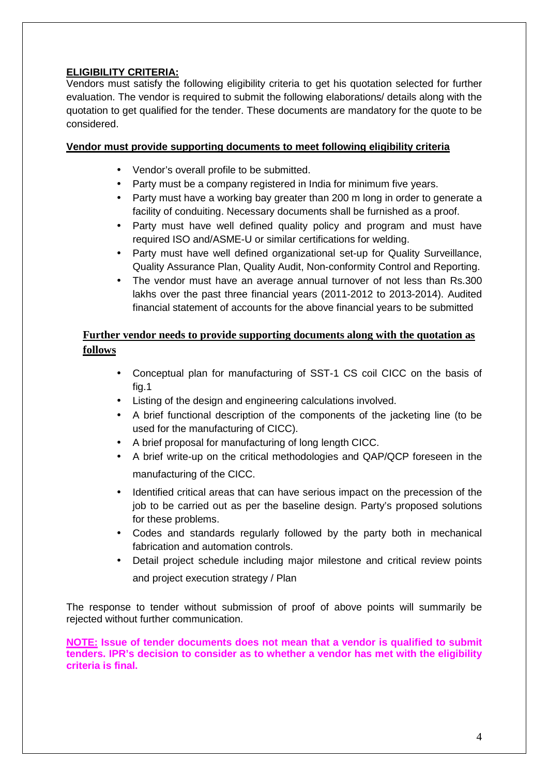# **ELIGIBILITY CRITERIA:**

Vendors must satisfy the following eligibility criteria to get his quotation selected for further evaluation. The vendor is required to submit the following elaborations/ details along with the quotation to get qualified for the tender. These documents are mandatory for the quote to be considered.

# **Vendor must provide supporting documents to meet following eligibility criteria**

- Vendor's overall profile to be submitted.
- Party must be a company registered in India for minimum five years.
- Party must have a working bay greater than 200 m long in order to generate a facility of conduiting. Necessary documents shall be furnished as a proof.
- Party must have well defined quality policy and program and must have required ISO and/ASME-U or similar certifications for welding.
- Party must have well defined organizational set-up for Quality Surveillance, Quality Assurance Plan, Quality Audit, Non-conformity Control and Reporting.
- The vendor must have an average annual turnover of not less than Rs.300 lakhs over the past three financial years (2011-2012 to 2013-2014). Audited financial statement of accounts for the above financial years to be submitted

# **Further vendor needs to provide supporting documents along with the quotation as follows**

- Conceptual plan for manufacturing of SST-1 CS coil CICC on the basis of fig.1
- Listing of the design and engineering calculations involved.
- A brief functional description of the components of the jacketing line (to be used for the manufacturing of CICC).
- A brief proposal for manufacturing of long length CICC.
- A brief write-up on the critical methodologies and QAP/QCP foreseen in the manufacturing of the CICC.
- Identified critical areas that can have serious impact on the precession of the job to be carried out as per the baseline design. Party's proposed solutions for these problems.
- Codes and standards regularly followed by the party both in mechanical fabrication and automation controls.
- Detail project schedule including major milestone and critical review points and project execution strategy / Plan

The response to tender without submission of proof of above points will summarily be rejected without further communication.

**NOTE: Issue of tender documents does not mean that a vendor is qualified to submit tenders. IPR's decision to consider as to whether a vendor has met with the eligibility criteria is final.**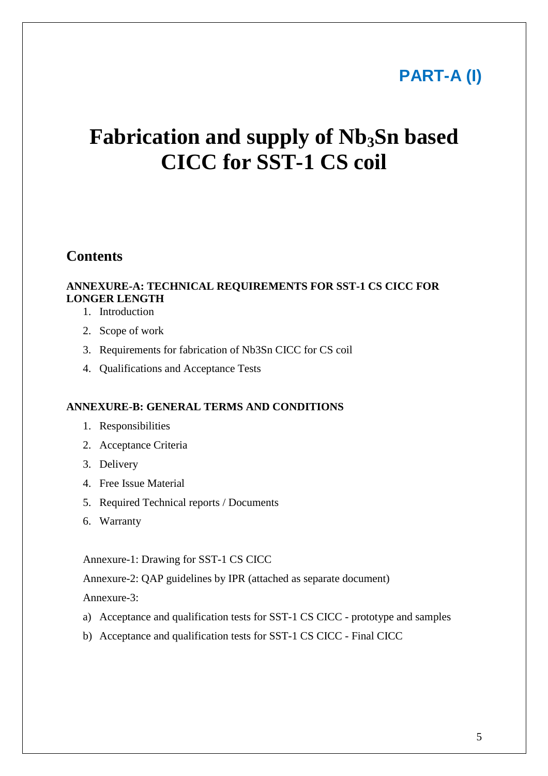# **PART-A (I)**

# **Fabrication and supply of Nb3Sn based CICC for SST-1 CS coil**

# **Contents**

# **ANNEXURE-A: TECHNICAL REQUIREMENTS FOR SST-1 CS CICC FOR LONGER LENGTH**

- 1. Introduction
- 2. Scope of work
- 3. Requirements for fabrication of Nb3Sn CICC for CS coil
- 4. Qualifications and Acceptance Tests

## **ANNEXURE-B: GENERAL TERMS AND CONDITIONS**

- 1. Responsibilities
- 2. Acceptance Criteria
- 3. Delivery
- 4. Free Issue Material
- 5. Required Technical reports / Documents
- 6. Warranty

Annexure-1: Drawing for SST-1 CS CICC

Annexure-2: QAP guidelines by IPR (attached as separate document)

Annexure-3:

- a) Acceptance and qualification tests for SST-1 CS CICC prototype and samples
- b) Acceptance and qualification tests for SST-1 CS CICC Final CICC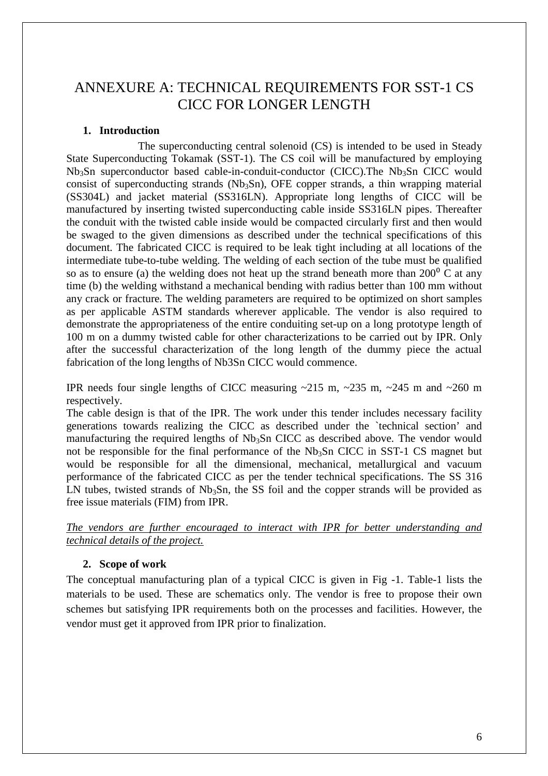# ANNEXURE A: TECHNICAL REQUIREMENTS FOR SST-1 CS CICC FOR LONGER LENGTH

# **1. Introduction**

 The superconducting central solenoid (CS) is intended to be used in Steady State Superconducting Tokamak (SST-1). The CS coil will be manufactured by employing  $Nb<sub>3</sub>Sn$  superconductor based cable-in-conduit-conductor (CICC). The  $Nb<sub>3</sub>Sn$  CICC would consist of superconducting strands ( $Nb<sub>3</sub>Sn$ ), OFE copper strands, a thin wrapping material (SS304L) and jacket material (SS316LN). Appropriate long lengths of CICC will be manufactured by inserting twisted superconducting cable inside SS316LN pipes. Thereafter the conduit with the twisted cable inside would be compacted circularly first and then would be swaged to the given dimensions as described under the technical specifications of this document. The fabricated CICC is required to be leak tight including at all locations of the intermediate tube-to-tube welding. The welding of each section of the tube must be qualified so as to ensure (a) the welding does not heat up the strand beneath more than  $200^{\circ}$  C at any time (b) the welding withstand a mechanical bending with radius better than 100 mm without any crack or fracture. The welding parameters are required to be optimized on short samples as per applicable ASTM standards wherever applicable. The vendor is also required to demonstrate the appropriateness of the entire conduiting set-up on a long prototype length of 100 m on a dummy twisted cable for other characterizations to be carried out by IPR. Only after the successful characterization of the long length of the dummy piece the actual fabrication of the long lengths of Nb3Sn CICC would commence.

IPR needs four single lengths of CICC measuring  $\sim$ 215 m,  $\sim$ 235 m,  $\sim$ 245 m and  $\sim$ 260 m respectively.

The cable design is that of the IPR. The work under this tender includes necessary facility generations towards realizing the CICC as described under the `technical section' and manufacturing the required lengths of  $Nb<sub>3</sub>Sn$  CICC as described above. The vendor would not be responsible for the final performance of the  $Nb<sub>3</sub>Sn$  CICC in SST-1 CS magnet but would be responsible for all the dimensional, mechanical, metallurgical and vacuum performance of the fabricated CICC as per the tender technical specifications. The SS 316 LN tubes, twisted strands of  $Nb<sub>3</sub>Sn$ , the SS foil and the copper strands will be provided as free issue materials (FIM) from IPR.

*The vendors are further encouraged to interact with IPR for better understanding and technical details of the project.* 

## **2. Scope of work**

The conceptual manufacturing plan of a typical CICC is given in Fig -1. Table-1 lists the materials to be used. These are schematics only. The vendor is free to propose their own schemes but satisfying IPR requirements both on the processes and facilities. However, the vendor must get it approved from IPR prior to finalization.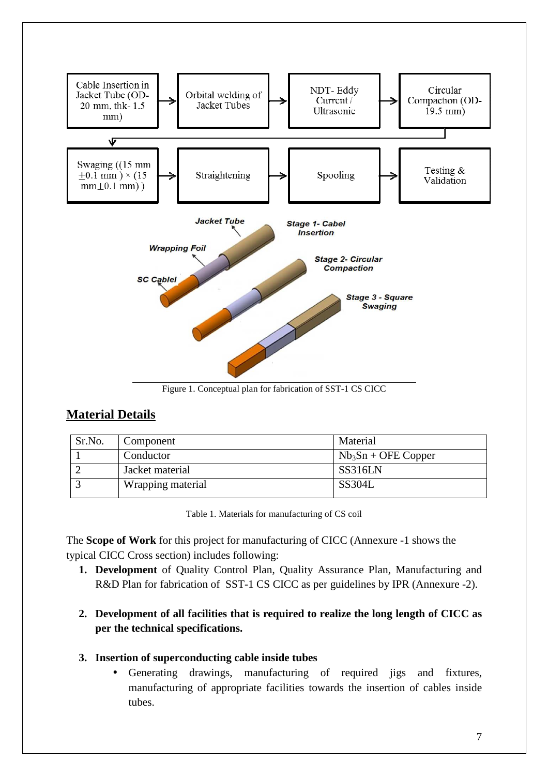

Figure 1. Conceptual plan for fabrication of SST-1 CS CICC

# **Material Details**

| Sr.No. | Component         | Material             |
|--------|-------------------|----------------------|
|        | Conductor         | $Nb3Sn + OFE Copper$ |
|        | Jacket material   | SS316LN              |
|        | Wrapping material | <b>SS304L</b>        |

Table 1. Materials for manufacturing of CS coil

The **Scope of Work** for this project for manufacturing of CICC (Annexure -1 shows the typical CICC Cross section) includes following:

- **1. Development** of Quality Control Plan, Quality Assurance Plan, Manufacturing and R&D Plan for fabrication of SST-1 CS CICC as per guidelines by IPR (Annexure -2).
- **2. Development of all facilities that is required to realize the long length of CICC as per the technical specifications.**
- **3. Insertion of superconducting cable inside tubes** 
	- Generating drawings, manufacturing of required jigs and fixtures, manufacturing of appropriate facilities towards the insertion of cables inside tubes.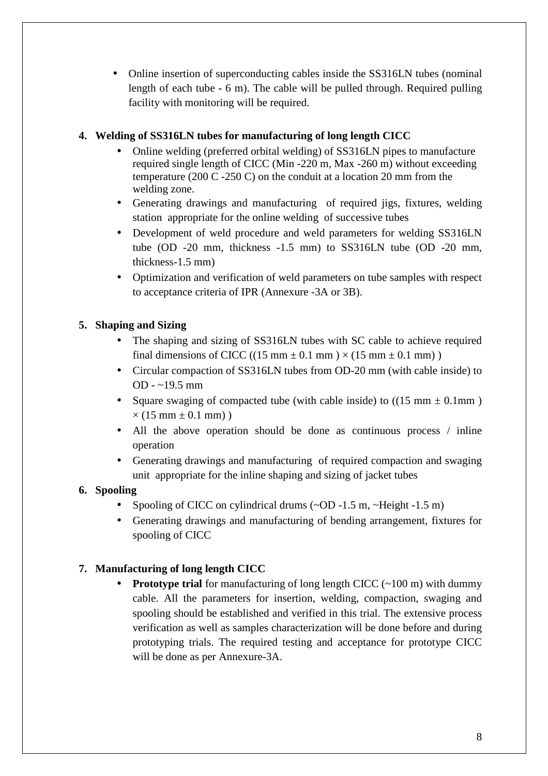• Online insertion of superconducting cables inside the SS316LN tubes (nominal length of each tube - 6 m). The cable will be pulled through. Required pulling facility with monitoring will be required.

# **4. Welding of SS316LN tubes for manufacturing of long length CICC**

- Online welding (preferred orbital welding) of SS316LN pipes to manufacture required single length of CICC (Min -220 m, Max -260 m) without exceeding temperature (200 C -250 C) on the conduit at a location 20 mm from the welding zone.
- Generating drawings and manufacturing of required jigs, fixtures, welding station appropriate for the online welding of successive tubes
- Development of weld procedure and weld parameters for welding SS316LN tube (OD -20 mm, thickness -1.5 mm) to SS316LN tube (OD -20 mm, thickness-1.5 mm)
- Optimization and verification of weld parameters on tube samples with respect to acceptance criteria of IPR (Annexure -3A or 3B).

# **5. Shaping and Sizing**

- The shaping and sizing of SS316LN tubes with SC cable to achieve required final dimensions of CICC ((15 mm  $\pm$  0.1 mm)  $\times$  (15 mm  $\pm$  0.1 mm))
- Circular compaction of SS316LN tubes from OD-20 mm (with cable inside) to OD - ~19.5 mm
- Square swaging of compacted tube (with cable inside) to  $((15 \text{ mm} \pm 0.1 \text{ mm}))$  $\times$  (15 mm  $\pm$  0.1 mm))
- All the above operation should be done as continuous process / inline operation
- Generating drawings and manufacturing of required compaction and swaging unit appropriate for the inline shaping and sizing of jacket tubes

# **6. Spooling**

- Spooling of CICC on cylindrical drums (~OD -1.5 m, ~Height -1.5 m)
- Generating drawings and manufacturing of bending arrangement, fixtures for spooling of CICC

# **7. Manufacturing of long length CICC**

• **Prototype trial** for manufacturing of long length CICC (~100 m) with dummy cable. All the parameters for insertion, welding, compaction, swaging and spooling should be established and verified in this trial. The extensive process verification as well as samples characterization will be done before and during prototyping trials. The required testing and acceptance for prototype CICC will be done as per Annexure-3A.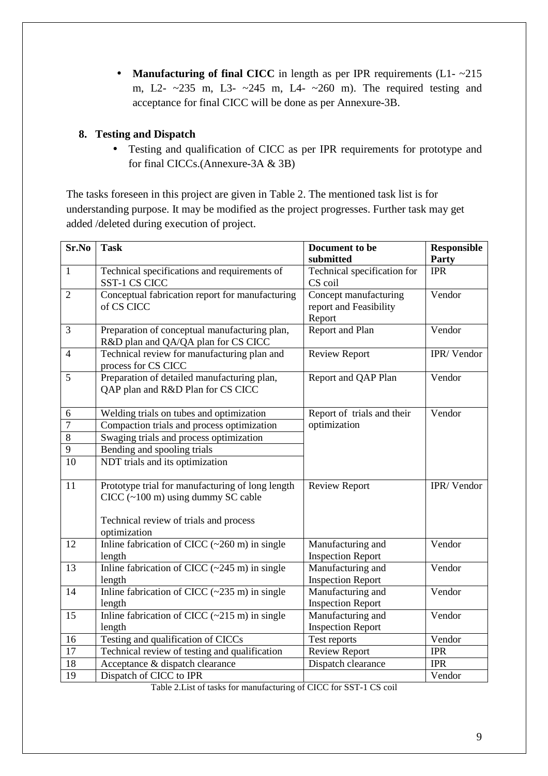• **Manufacturing of final CICC** in length as per IPR requirements (L1- $\sim$ 215 m, L2- ~235 m, L3- ~245 m, L4- ~260 m). The required testing and acceptance for final CICC will be done as per Annexure-3B.

# **8. Testing and Dispatch**

• Testing and qualification of CICC as per IPR requirements for prototype and for final CICCs.(Annexure-3A & 3B)

The tasks foreseen in this project are given in Table 2. The mentioned task list is for understanding purpose. It may be modified as the project progresses. Further task may get added /deleted during execution of project.

| Sr.No          | <b>Task</b>                                                                                                                        | Document to be<br>submitted                               | <b>Responsible</b><br>Party |
|----------------|------------------------------------------------------------------------------------------------------------------------------------|-----------------------------------------------------------|-----------------------------|
| $\mathbf{1}$   | Technical specifications and requirements of<br>SST-1 CS CICC                                                                      | Technical specification for<br>CS coil                    | <b>IPR</b>                  |
| $\overline{2}$ | Conceptual fabrication report for manufacturing<br>of CS CICC                                                                      | Concept manufacturing<br>report and Feasibility<br>Report | Vendor                      |
| 3              | Preparation of conceptual manufacturing plan,<br>R&D plan and QA/QA plan for CS CICC                                               | <b>Report and Plan</b>                                    | Vendor                      |
| $\overline{4}$ | Technical review for manufacturing plan and<br>process for CS CICC                                                                 | <b>Review Report</b>                                      | IPR/Vendor                  |
| 5              | Preparation of detailed manufacturing plan,<br>QAP plan and R&D Plan for CS CICC                                                   | Report and QAP Plan                                       | Vendor                      |
| 6              | Welding trials on tubes and optimization                                                                                           | Report of trials and their                                | Vendor                      |
| $\tau$         | Compaction trials and process optimization                                                                                         | optimization                                              |                             |
| $\,8\,$        | Swaging trials and process optimization                                                                                            |                                                           |                             |
| $\overline{9}$ | Bending and spooling trials                                                                                                        |                                                           |                             |
| 10             | NDT trials and its optimization                                                                                                    |                                                           |                             |
| 11             | Prototype trial for manufacturing of long length<br>$CICC$ (~100 m) using dummy SC cable<br>Technical review of trials and process | <b>Review Report</b>                                      | IPR/Vendor                  |
|                | optimization                                                                                                                       |                                                           |                             |
| 12             | Inline fabrication of CICC $(\sim 260 \text{ m})$ in single<br>length                                                              | Manufacturing and<br><b>Inspection Report</b>             | Vendor                      |
| 13             | Inline fabrication of CICC $(\sim 245 \text{ m})$ in single<br>length                                                              | Manufacturing and<br><b>Inspection Report</b>             | Vendor                      |
| 14             | Inline fabrication of CICC $(-235 \text{ m})$ in single<br>length                                                                  | Manufacturing and<br><b>Inspection Report</b>             | Vendor                      |
| 15             | Inline fabrication of CICC $(\sim 215 \text{ m})$ in single<br>length                                                              | Manufacturing and<br><b>Inspection Report</b>             | Vendor                      |
| 16             | Testing and qualification of CICCs                                                                                                 | Test reports                                              | Vendor                      |
| 17             | Technical review of testing and qualification                                                                                      | <b>Review Report</b>                                      | <b>IPR</b>                  |
| 18             | Acceptance & dispatch clearance                                                                                                    | Dispatch clearance                                        | <b>IPR</b>                  |
| 19             | Dispatch of CICC to IPR                                                                                                            |                                                           | Vendor                      |

Table 2.List of tasks for manufacturing of CICC for SST-1 CS coil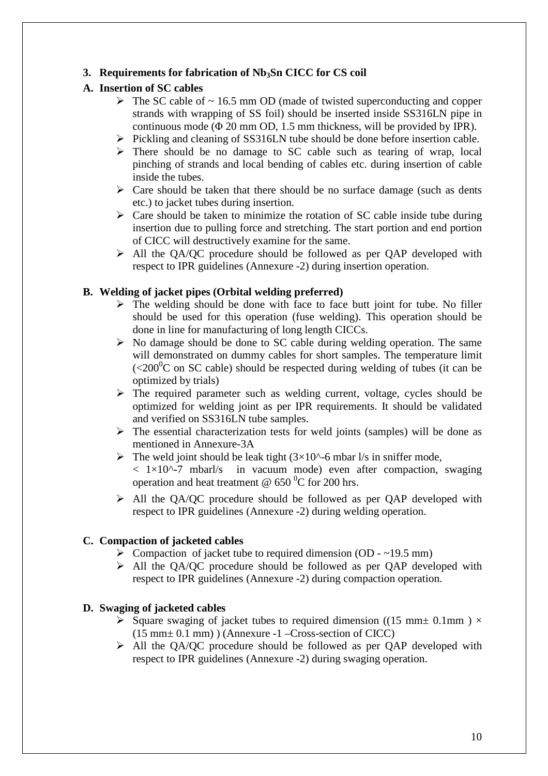# **3. Requirements for fabrication of Nb3Sn CICC for CS coil**

# **A. Insertion of SC cables**

- $\triangleright$  The SC cable of  $\sim$  16.5 mm OD (made of twisted superconducting and copper strands with wrapping of SS foil) should be inserted inside SS316LN pipe in continuous mode ( $\Phi$  20 mm OD, 1.5 mm thickness, will be provided by IPR).
- $\triangleright$  Pickling and cleaning of SS316LN tube should be done before insertion cable.
- $\triangleright$  There should be no damage to SC cable such as tearing of wrap, local pinching of strands and local bending of cables etc. during insertion of cable inside the tubes.
- $\triangleright$  Care should be taken that there should be no surface damage (such as dents etc.) to jacket tubes during insertion.
- $\triangleright$  Care should be taken to minimize the rotation of SC cable inside tube during insertion due to pulling force and stretching. The start portion and end portion of CICC will destructively examine for the same.
- All the QA/QC procedure should be followed as per QAP developed with respect to IPR guidelines (Annexure -2) during insertion operation.

# **B. Welding of jacket pipes (Orbital welding preferred)**

- $\triangleright$  The welding should be done with face to face butt joint for tube. No filler should be used for this operation (fuse welding). This operation should be done in line for manufacturing of long length CICCs.
- $\triangleright$  No damage should be done to SC cable during welding operation. The same will demonstrated on dummy cables for short samples. The temperature limit  $\sim$  (<200<sup>0</sup>C on SC cable) should be respected during welding of tubes (it can be optimized by trials)
- $\triangleright$  The required parameter such as welding current, voltage, cycles should be optimized for welding joint as per IPR requirements. It should be validated and verified on SS316LN tube samples.
- $\triangleright$  The essential characterization tests for weld joints (samples) will be done as mentioned in Annexure-3A
- $\triangleright$  The weld joint should be leak tight (3×10^-6 mbar l/s in sniffer mode,  $< 1 \times 10^{(-7)}$  mbarl/s in vacuum mode) even after compaction, swaging operation and heat treatment  $\omega$  650 °C for 200 hrs.
- All the QA/QC procedure should be followed as per QAP developed with respect to IPR guidelines (Annexure -2) during welding operation.

# **C. Compaction of jacketed cables**

- $\triangleright$  Compaction of jacket tube to required dimension (OD ~19.5 mm)
- $\triangleright$  All the OA/OC procedure should be followed as per OAP developed with respect to IPR guidelines (Annexure -2) during compaction operation.

# **D. Swaging of jacketed cables**

- Square swaging of jacket tubes to required dimension ((15 mm  $\pm$  0.1mm)  $\times$ (15 mm± 0.1 mm) ) (Annexure -1 –Cross-section of CICC)
- $\triangleright$  All the OA/OC procedure should be followed as per OAP developed with respect to IPR guidelines (Annexure -2) during swaging operation.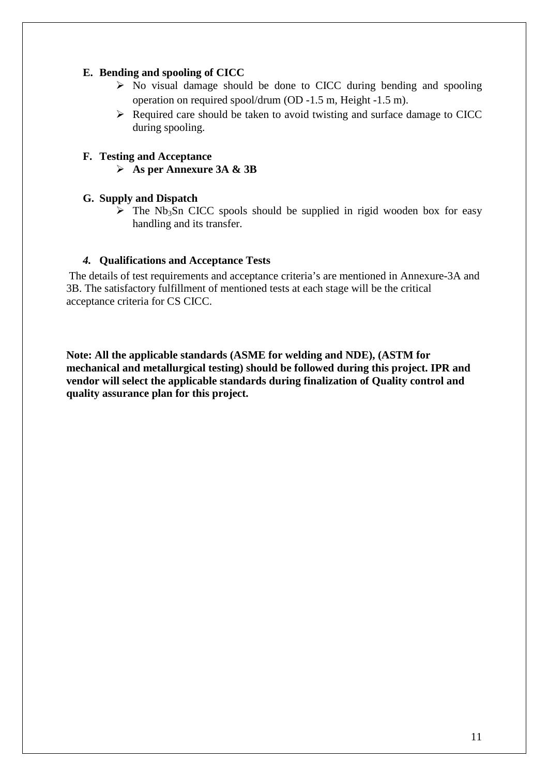# **E. Bending and spooling of CICC**

- $\triangleright$  No visual damage should be done to CICC during bending and spooling operation on required spool/drum (OD -1.5 m, Height -1.5 m).
- $\triangleright$  Required care should be taken to avoid twisting and surface damage to CICC during spooling.

# **F. Testing and Acceptance**

**As per Annexure 3A & 3B** 

# **G. Supply and Dispatch**

 $\triangleright$  The Nb<sub>3</sub>Sn CICC spools should be supplied in rigid wooden box for easy handling and its transfer.

## *4.* **Qualifications and Acceptance Tests**

 The details of test requirements and acceptance criteria's are mentioned in Annexure-3A and 3B. The satisfactory fulfillment of mentioned tests at each stage will be the critical acceptance criteria for CS CICC.

**Note: All the applicable standards (ASME for welding and NDE), (ASTM for mechanical and metallurgical testing) should be followed during this project. IPR and vendor will select the applicable standards during finalization of Quality control and quality assurance plan for this project.**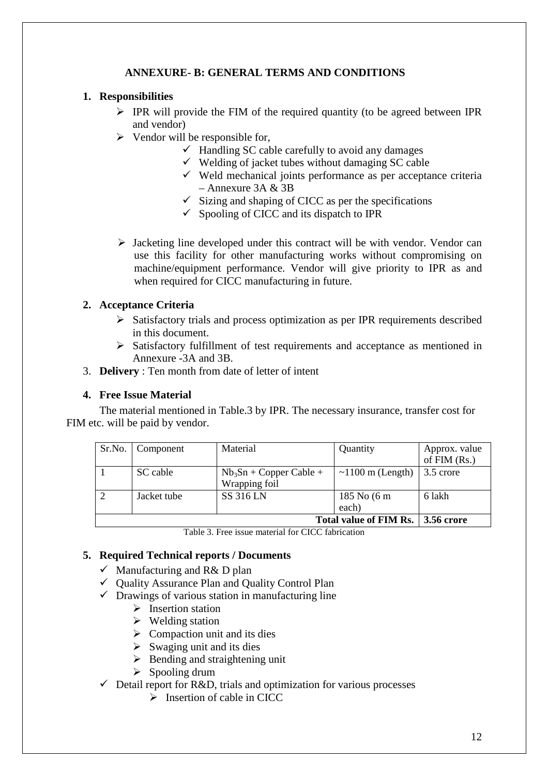# **ANNEXURE- B: GENERAL TERMS AND CONDITIONS**

# **1. Responsibilities**

- $\triangleright$  IPR will provide the FIM of the required quantity (to be agreed between IPR and vendor)
- $\triangleright$  Vendor will be responsible for,
	- Handling SC cable carefully to avoid any damages
	- $\checkmark$  Welding of jacket tubes without damaging SC cable
	- Weld mechanical joints performance as per acceptance criteria  $-$  Annexure 3A & 3B
	- $\checkmark$  Sizing and shaping of CICC as per the specifications
	- $\checkmark$  Spooling of CICC and its dispatch to IPR
- $\triangleright$  Jacketing line developed under this contract will be with vendor. Vendor can use this facility for other manufacturing works without compromising on machine/equipment performance. Vendor will give priority to IPR as and when required for CICC manufacturing in future.

# **2. Acceptance Criteria**

- $\triangleright$  Satisfactory trials and process optimization as per IPR requirements described in this document.
- Satisfactory fulfillment of test requirements and acceptance as mentioned in Annexure -3A and 3B.
- 3. **Delivery** : Ten month from date of letter of intent

# **4. Free Issue Material**

 The material mentioned in Table.3 by IPR. The necessary insurance, transfer cost for FIM etc. will be paid by vendor.

| Sr.No.         | Component                                   | Material                  | Quantity               | Approx. value |
|----------------|---------------------------------------------|---------------------------|------------------------|---------------|
|                |                                             |                           |                        | of $FIM(Rs.)$ |
|                | SC cable                                    | $Nb_3Sn + Copper$ Cable + | $\sim$ 1100 m (Length) | 3.5 crore     |
|                |                                             | Wrapping foil             |                        |               |
| $\overline{2}$ | Jacket tube                                 | <b>SS 316 LN</b>          | 185 No (6 m            | 6 lakh        |
|                |                                             |                           | each)                  |               |
|                | Total value of FIM Rs.<br><b>3.56 crore</b> |                           |                        |               |

Table 3. Free issue material for CICC fabrication

# **5. Required Technical reports / Documents**

- Manufacturing and R& D plan
- Quality Assurance Plan and Quality Control Plan
- $\checkmark$  Drawings of various station in manufacturing line
	- $\triangleright$  Insertion station
	- $\triangleright$  Welding station
	- $\triangleright$  Compaction unit and its dies
	- $\triangleright$  Swaging unit and its dies
	- $\triangleright$  Bending and straightening unit
	- $\triangleright$  Spooling drum
- Detail report for R&D, trials and optimization for various processes
	- $\triangleright$  Insertion of cable in CICC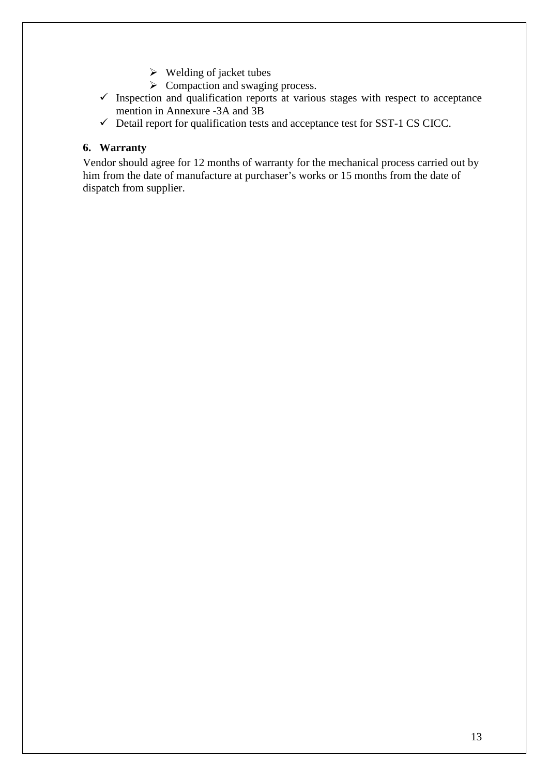- $\triangleright$  Welding of jacket tubes
- $\triangleright$  Compaction and swaging process.
- $\checkmark$  Inspection and qualification reports at various stages with respect to acceptance mention in Annexure -3A and 3B
- Detail report for qualification tests and acceptance test for SST-1 CS CICC.

# **6. Warranty**

Vendor should agree for 12 months of warranty for the mechanical process carried out by him from the date of manufacture at purchaser's works or 15 months from the date of dispatch from supplier.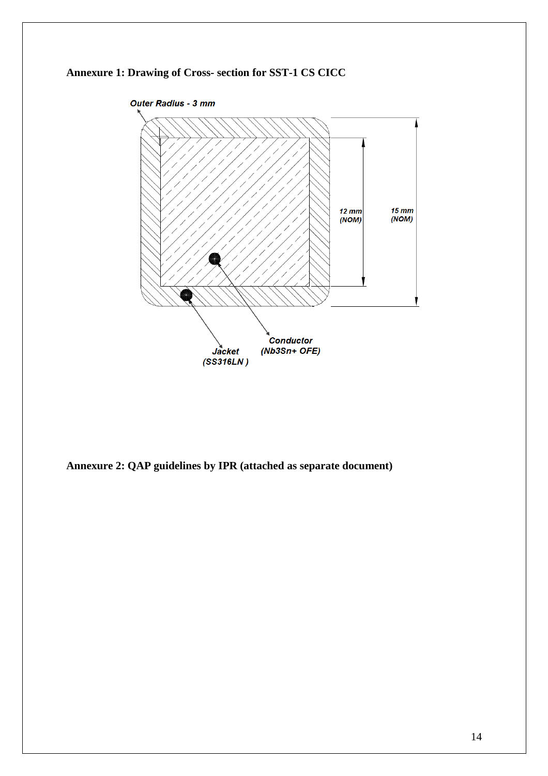



**Annexure 2: QAP guidelines by IPR (attached as separate document)**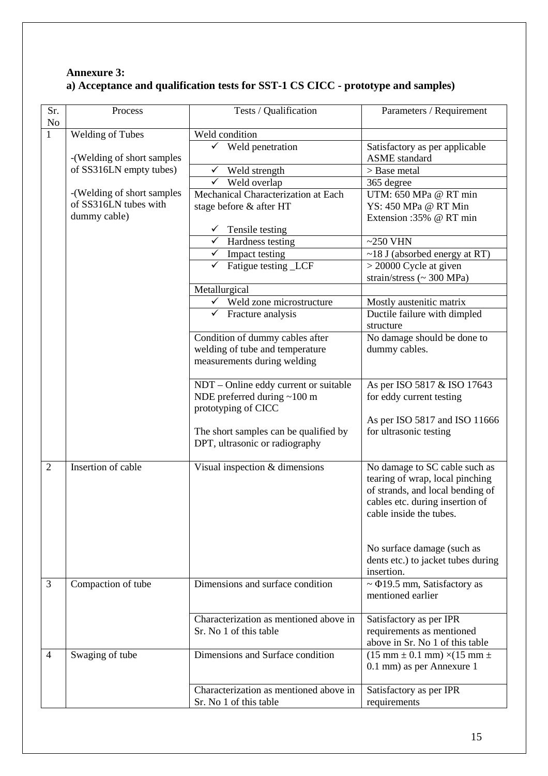# **Annexure 3: a) Acceptance and qualification tests for SST-1 CS CICC - prototype and samples)**

| Sr.            | Process                    | Tests / Qualification                                  | Parameters / Requirement                                          |
|----------------|----------------------------|--------------------------------------------------------|-------------------------------------------------------------------|
| No             |                            |                                                        |                                                                   |
| $\mathbf{1}$   | <b>Welding of Tubes</b>    | Weld condition<br>Weld penetration                     | Satisfactory as per applicable                                    |
|                | -(Welding of short samples |                                                        | <b>ASME</b> standard                                              |
|                | of SS316LN empty tubes)    | $\checkmark$<br>Weld strength                          | > Base metal                                                      |
|                |                            | Weld overlap<br>✓                                      | 365 degree                                                        |
|                | -(Welding of short samples | Mechanical Characterization at Each                    | UTM: 650 MPa @ RT min                                             |
|                | of SS316LN tubes with      | stage before & after HT                                | YS: 450 MPa @ RT Min                                              |
|                | dummy cable)               |                                                        | Extension:35% @ RT min                                            |
|                |                            | Tensile testing                                        |                                                                   |
|                |                            | $\checkmark$<br>Hardness testing                       | $\sim$ 250 VHN                                                    |
|                |                            | $\checkmark$ Impact testing                            | $\sim$ 18 J (absorbed energy at RT)                               |
|                |                            | Fatigue testing _LCF<br>✓                              | $>$ 20000 Cycle at given                                          |
|                |                            |                                                        | strain/stress (~ 300 MPa)                                         |
|                |                            | Metallurgical<br>$\checkmark$ Weld zone microstructure | Mostly austenitic matrix                                          |
|                |                            | $\checkmark$ Fracture analysis                         | Ductile failure with dimpled                                      |
|                |                            |                                                        | structure                                                         |
|                |                            | Condition of dummy cables after                        | No damage should be done to                                       |
|                |                            | welding of tube and temperature                        | dummy cables.                                                     |
|                |                            | measurements during welding                            |                                                                   |
|                |                            |                                                        |                                                                   |
|                |                            | NDT - Online eddy current or suitable                  | As per ISO 5817 & ISO 17643                                       |
|                |                            | NDE preferred during ~100 m                            | for eddy current testing                                          |
|                |                            | prototyping of CICC                                    |                                                                   |
|                |                            | The short samples can be qualified by                  | As per ISO 5817 and ISO 11666<br>for ultrasonic testing           |
|                |                            | DPT, ultrasonic or radiography                         |                                                                   |
|                |                            |                                                        |                                                                   |
| $\overline{2}$ | Insertion of cable         | Visual inspection & dimensions                         | No damage to SC cable such as                                     |
|                |                            |                                                        | tearing of wrap, local pinching                                   |
|                |                            |                                                        | of strands, and local bending of                                  |
|                |                            |                                                        | cables etc. during insertion of                                   |
|                |                            |                                                        | cable inside the tubes.                                           |
|                |                            |                                                        |                                                                   |
|                |                            |                                                        | No surface damage (such as                                        |
|                |                            |                                                        | dents etc.) to jacket tubes during                                |
|                |                            |                                                        | insertion.                                                        |
| $\overline{3}$ | Compaction of tube         | Dimensions and surface condition                       | $\sim$ $\Phi$ 19.5 mm, Satisfactory as                            |
|                |                            |                                                        | mentioned earlier                                                 |
|                |                            | Characterization as mentioned above in                 |                                                                   |
|                |                            | Sr. No 1 of this table                                 | Satisfactory as per IPR<br>requirements as mentioned              |
|                |                            |                                                        | above in Sr. No 1 of this table                                   |
| $\overline{4}$ | Swaging of tube            | Dimensions and Surface condition                       | $(15 \text{ mm} \pm 0.1 \text{ mm}) \times (15 \text{ mm} \pm 1)$ |
|                |                            |                                                        | 0.1 mm) as per Annexure 1                                         |
|                |                            |                                                        |                                                                   |
|                |                            | Characterization as mentioned above in                 | Satisfactory as per IPR                                           |
|                |                            | Sr. No 1 of this table                                 | requirements                                                      |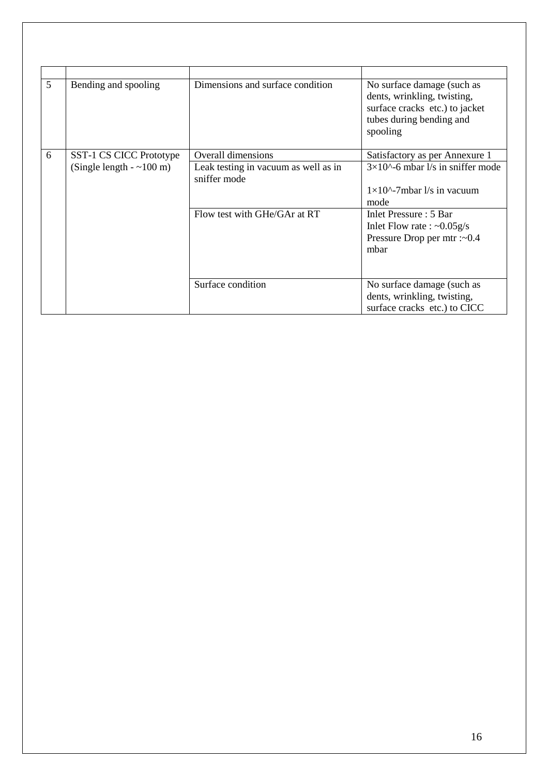| 5 | Bending and spooling     | Dimensions and surface condition                                                     | No surface damage (such as<br>dents, wrinkling, twisting,<br>surface cracks etc.) to jacket<br>tubes during bending and<br>spooling                                                                         |
|---|--------------------------|--------------------------------------------------------------------------------------|-------------------------------------------------------------------------------------------------------------------------------------------------------------------------------------------------------------|
| 6 | SST-1 CS CICC Prototype  | Overall dimensions                                                                   | Satisfactory as per Annexure 1                                                                                                                                                                              |
|   | (Single length $-100$ m) | Leak testing in vacuum as well as in<br>sniffer mode<br>Flow test with GHe/GAr at RT | $3\times10^{\circ}$ -6 mbar l/s in sniffer mode<br>$1\times10^{\circ}$ -7mbar $1/s$ in vacuum<br>mode<br>Inlet Pressure: 5 Bar<br>Inlet Flow rate : $\sim 0.05$ g/s<br>Pressure Drop per mtr :~ 0.4<br>mbar |
|   |                          | Surface condition                                                                    | No surface damage (such as<br>dents, wrinkling, twisting,<br>surface cracks etc.) to CICC                                                                                                                   |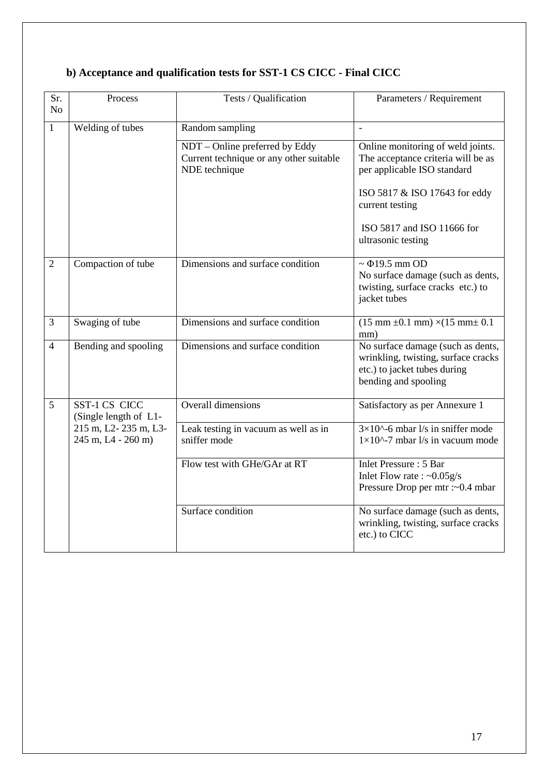| Sr.<br>N <sub>o</sub> | Process                                    | Tests / Qualification                                                                      | Parameters / Requirement                                                                                                         |
|-----------------------|--------------------------------------------|--------------------------------------------------------------------------------------------|----------------------------------------------------------------------------------------------------------------------------------|
| $\mathbf{1}$          | Welding of tubes                           | Random sampling                                                                            | $\mathbf{r}$                                                                                                                     |
|                       |                                            | NDT - Online preferred by Eddy<br>Current technique or any other suitable<br>NDE technique | Online monitoring of weld joints.<br>The acceptance criteria will be as<br>per applicable ISO standard                           |
|                       |                                            |                                                                                            | ISO 5817 & ISO 17643 for eddy<br>current testing                                                                                 |
|                       |                                            |                                                                                            | ISO 5817 and ISO 11666 for<br>ultrasonic testing                                                                                 |
| $\overline{2}$        | Compaction of tube                         | Dimensions and surface condition                                                           | $\sim$ $\Phi$ 19.5 mm OD<br>No surface damage (such as dents,<br>twisting, surface cracks etc.) to<br>jacket tubes               |
| 3                     | Swaging of tube                            | Dimensions and surface condition                                                           | $(15 \text{ mm} \pm 0.1 \text{ mm}) \times (15 \text{ mm} \pm 0.1$<br>mm)                                                        |
| 4                     | Bending and spooling                       | Dimensions and surface condition                                                           | No surface damage (such as dents,<br>wrinkling, twisting, surface cracks<br>etc.) to jacket tubes during<br>bending and spooling |
| 5                     | SST-1 CS CICC<br>(Single length of L1-     | <b>Overall dimensions</b>                                                                  | Satisfactory as per Annexure 1                                                                                                   |
|                       | 215 m, L2-235 m, L3-<br>245 m, L4 - 260 m) | Leak testing in vacuum as well as in<br>sniffer mode                                       | $3\times10^{(-)}$ -6 mbar l/s in sniffer mode<br>$1\times10^{\text{A}}$ -7 mbar $1/s$ in vacuum mode                             |
|                       |                                            | Flow test with GHe/GAr at RT                                                               | <b>Inlet Pressure: 5 Bar</b><br>Inlet Flow rate : $\sim 0.05$ g/s<br>Pressure Drop per mtr :~ 0.4 mbar                           |
|                       |                                            | Surface condition                                                                          | No surface damage (such as dents,<br>wrinkling, twisting, surface cracks<br>etc.) to CICC                                        |

# **b) Acceptance and qualification tests for SST-1 CS CICC - Final CICC**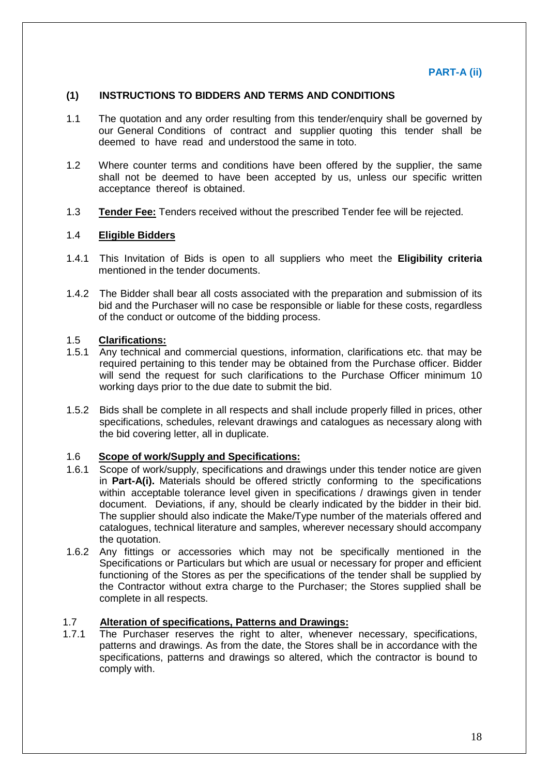## **(1) INSTRUCTIONS TO BIDDERS AND TERMS AND CONDITIONS**

- 1.1 The quotation and any order resulting from this tender/enquiry shall be governed by our General Conditions of contract and supplier quoting this tender shall be deemed to have read and understood the same in toto.
- 1.2 Where counter terms and conditions have been offered by the supplier, the same shall not be deemed to have been accepted by us, unless our specific written acceptance thereof is obtained.
- 1.3 **Tender Fee:** Tenders received without the prescribed Tender fee will be rejected.

#### 1.4 **Eligible Bidders**

- 1.4.1 This Invitation of Bids is open to all suppliers who meet the **Eligibility criteria** mentioned in the tender documents.
- 1.4.2 The Bidder shall bear all costs associated with the preparation and submission of its bid and the Purchaser will no case be responsible or liable for these costs, regardless of the conduct or outcome of the bidding process.

# 1.5 **Clarifications:**

- 1.5.1 Any technical and commercial questions, information, clarifications etc. that may be required pertaining to this tender may be obtained from the Purchase officer. Bidder will send the request for such clarifications to the Purchase Officer minimum 10 working days prior to the due date to submit the bid.
- 1.5.2 Bids shall be complete in all respects and shall include properly filled in prices, other specifications, schedules, relevant drawings and catalogues as necessary along with the bid covering letter, all in duplicate.

## 1.6 **Scope of work/Supply and Specifications:**

- 1.6.1 Scope of work/supply, specifications and drawings under this tender notice are given in **Part-A(i).** Materials should be offered strictly conforming to the specifications within acceptable tolerance level given in specifications / drawings given in tender document. Deviations, if any, should be clearly indicated by the bidder in their bid. The supplier should also indicate the Make/Type number of the materials offered and catalogues, technical literature and samples, wherever necessary should accompany the quotation.
- 1.6.2 Any fittings or accessories which may not be specifically mentioned in the Specifications or Particulars but which are usual or necessary for proper and efficient functioning of the Stores as per the specifications of the tender shall be supplied by the Contractor without extra charge to the Purchaser; the Stores supplied shall be complete in all respects.

#### 1.7 **Alteration of specifications, Patterns and Drawings:**

1.7.1 The Purchaser reserves the right to alter, whenever necessary, specifications, patterns and drawings. As from the date, the Stores shall be in accordance with the specifications, patterns and drawings so altered, which the contractor is bound to comply with.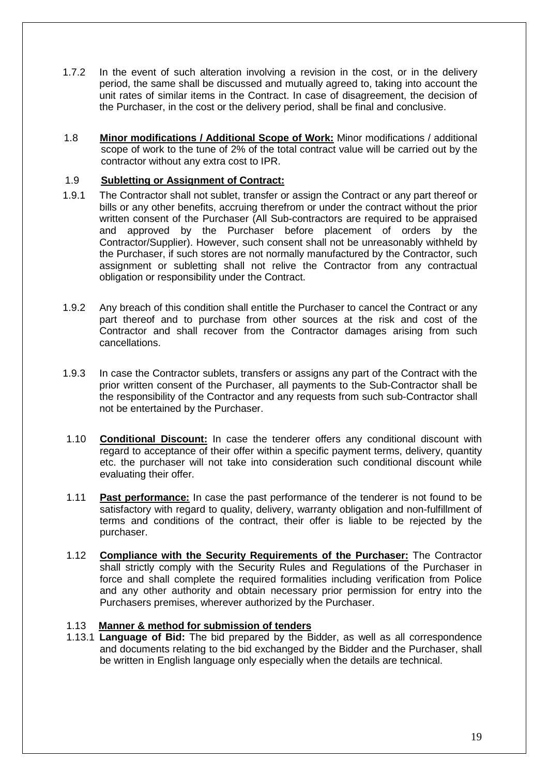- 1.7.2 In the event of such alteration involving a revision in the cost, or in the delivery period, the same shall be discussed and mutually agreed to, taking into account the unit rates of similar items in the Contract. In case of disagreement, the decision of the Purchaser, in the cost or the delivery period, shall be final and conclusive.
- 1.8 **Minor modifications / Additional Scope of Work:** Minor modifications / additional scope of work to the tune of 2% of the total contract value will be carried out by the contractor without any extra cost to IPR.

# 1.9 **Subletting or Assignment of Contract:**

- 1.9.1 The Contractor shall not sublet, transfer or assign the Contract or any part thereof or bills or any other benefits, accruing therefrom or under the contract without the prior written consent of the Purchaser (All Sub-contractors are required to be appraised and approved by the Purchaser before placement of orders by the Contractor/Supplier). However, such consent shall not be unreasonably withheld by the Purchaser, if such stores are not normally manufactured by the Contractor, such assignment or subletting shall not relive the Contractor from any contractual obligation or responsibility under the Contract.
- 1.9.2 Any breach of this condition shall entitle the Purchaser to cancel the Contract or any part thereof and to purchase from other sources at the risk and cost of the Contractor and shall recover from the Contractor damages arising from such cancellations.
- 1.9.3 In case the Contractor sublets, transfers or assigns any part of the Contract with the prior written consent of the Purchaser, all payments to the Sub-Contractor shall be the responsibility of the Contractor and any requests from such sub-Contractor shall not be entertained by the Purchaser.
- 1.10 **Conditional Discount:** In case the tenderer offers any conditional discount with regard to acceptance of their offer within a specific payment terms, delivery, quantity etc. the purchaser will not take into consideration such conditional discount while evaluating their offer.
- 1.11 **Past performance:** In case the past performance of the tenderer is not found to be satisfactory with regard to quality, delivery, warranty obligation and non-fulfillment of terms and conditions of the contract, their offer is liable to be rejected by the purchaser.
- 1.12 **Compliance with the Security Requirements of the Purchaser:** The Contractor shall strictly comply with the Security Rules and Regulations of the Purchaser in force and shall complete the required formalities including verification from Police and any other authority and obtain necessary prior permission for entry into the Purchasers premises, wherever authorized by the Purchaser.

# 1.13 **Manner & method for submission of tenders**

1.13.1 **Language of Bid:** The bid prepared by the Bidder, as well as all correspondence and documents relating to the bid exchanged by the Bidder and the Purchaser, shall be written in English language only especially when the details are technical.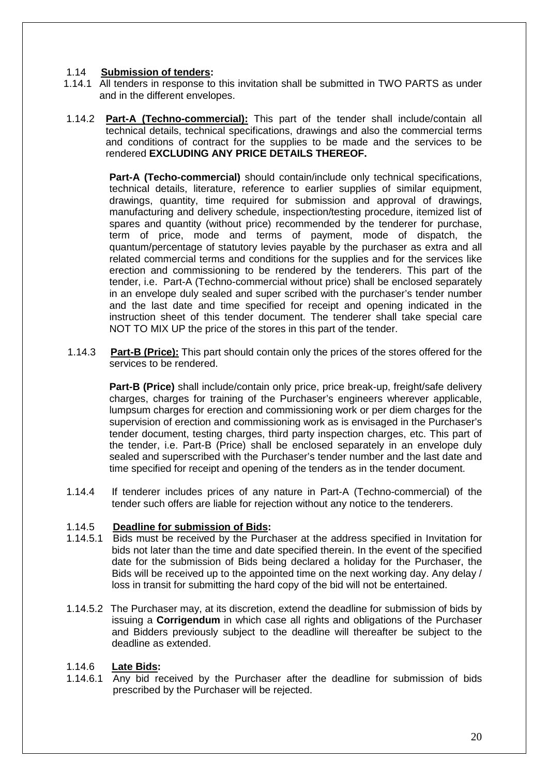# 1.14 **Submission of tenders:**

- 1.14.1 All tenders in response to this invitation shall be submitted in TWO PARTS as under and in the different envelopes.
- 1.14.2 **Part-A (Techno-commercial):** This part of the tender shall include/contain all technical details, technical specifications, drawings and also the commercial terms and conditions of contract for the supplies to be made and the services to be rendered **EXCLUDING ANY PRICE DETAILS THEREOF.**

**Part-A (Techo-commercial)** should contain/include only technical specifications, technical details, literature, reference to earlier supplies of similar equipment, drawings, quantity, time required for submission and approval of drawings, manufacturing and delivery schedule, inspection/testing procedure, itemized list of spares and quantity (without price) recommended by the tenderer for purchase, term of price, mode and terms of payment, mode of dispatch, the quantum/percentage of statutory levies payable by the purchaser as extra and all related commercial terms and conditions for the supplies and for the services like erection and commissioning to be rendered by the tenderers. This part of the tender, i.e. Part-A (Techno-commercial without price) shall be enclosed separately in an envelope duly sealed and super scribed with the purchaser's tender number and the last date and time specified for receipt and opening indicated in the instruction sheet of this tender document. The tenderer shall take special care NOT TO MIX UP the price of the stores in this part of the tender.

1.14.3 **Part-B (Price):** This part should contain only the prices of the stores offered for the services to be rendered.

**Part-B (Price)** shall include/contain only price, price break-up, freight/safe delivery charges, charges for training of the Purchaser's engineers wherever applicable, lumpsum charges for erection and commissioning work or per diem charges for the supervision of erection and commissioning work as is envisaged in the Purchaser's tender document, testing charges, third party inspection charges, etc. This part of the tender, i.e. Part-B (Price) shall be enclosed separately in an envelope duly sealed and superscribed with the Purchaser's tender number and the last date and time specified for receipt and opening of the tenders as in the tender document.

1.14.4 If tenderer includes prices of any nature in Part-A (Techno-commercial) of the tender such offers are liable for rejection without any notice to the tenderers.

## 1.14.5 **Deadline for submission of Bids:**

- 1.14.5.1 Bids must be received by the Purchaser at the address specified in Invitation for bids not later than the time and date specified therein. In the event of the specified date for the submission of Bids being declared a holiday for the Purchaser, the Bids will be received up to the appointed time on the next working day. Any delay / loss in transit for submitting the hard copy of the bid will not be entertained.
- 1.14.5.2 The Purchaser may, at its discretion, extend the deadline for submission of bids by issuing a **Corrigendum** in which case all rights and obligations of the Purchaser and Bidders previously subject to the deadline will thereafter be subject to the deadline as extended.

## 1.14.6 **Late Bids:**

1.14.6.1 Any bid received by the Purchaser after the deadline for submission of bids prescribed by the Purchaser will be rejected.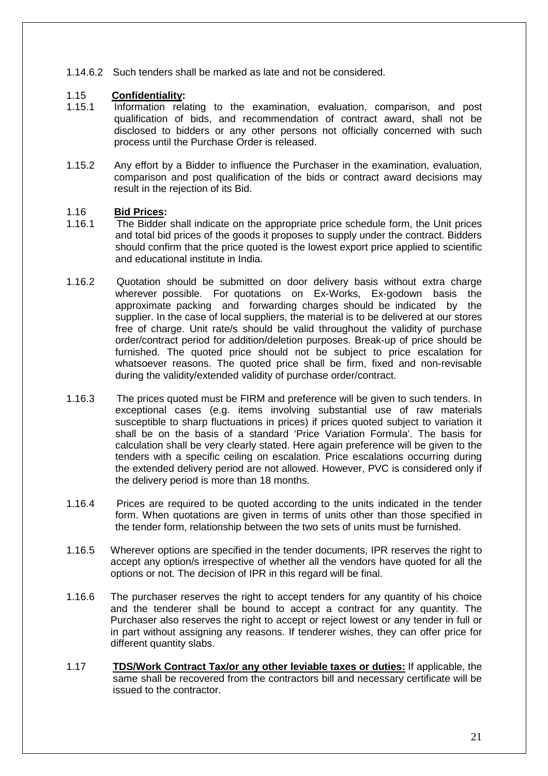1.14.6.2 Such tenders shall be marked as late and not be considered.

# 1.15 **Confidentiality:**

- 1.15.1 Information relating to the examination, evaluation, comparison, and post qualification of bids, and recommendation of contract award, shall not be disclosed to bidders or any other persons not officially concerned with such process until the Purchase Order is released.
- 1.15.2 Any effort by a Bidder to influence the Purchaser in the examination, evaluation, comparison and post qualification of the bids or contract award decisions may result in the rejection of its Bid.

## 1.16 **Bid Prices:**

- 1.16.1 The Bidder shall indicate on the appropriate price schedule form, the Unit prices and total bid prices of the goods it proposes to supply under the contract. Bidders should confirm that the price quoted is the lowest export price applied to scientific and educational institute in India.
- 1.16.2 Quotation should be submitted on door delivery basis without extra charge wherever possible. For quotations on Ex-Works, Ex-godown basis the approximate packing and forwarding charges should be indicated by the supplier. In the case of local suppliers, the material is to be delivered at our stores free of charge. Unit rate/s should be valid throughout the validity of purchase order/contract period for addition/deletion purposes. Break-up of price should be furnished. The quoted price should not be subject to price escalation for whatsoever reasons. The quoted price shall be firm, fixed and non-revisable during the validity/extended validity of purchase order/contract.
- 1.16.3 The prices quoted must be FIRM and preference will be given to such tenders. In exceptional cases (e.g. items involving substantial use of raw materials susceptible to sharp fluctuations in prices) if prices quoted subject to variation it shall be on the basis of a standard 'Price Variation Formula'. The basis for calculation shall be very clearly stated. Here again preference will be given to the tenders with a specific ceiling on escalation. Price escalations occurring during the extended delivery period are not allowed. However, PVC is considered only if the delivery period is more than 18 months.
- 1.16.4 Prices are required to be quoted according to the units indicated in the tender form. When quotations are given in terms of units other than those specified in the tender form, relationship between the two sets of units must be furnished.
- 1.16.5 Wherever options are specified in the tender documents, IPR reserves the right to accept any option/s irrespective of whether all the vendors have quoted for all the options or not. The decision of IPR in this regard will be final.
- 1.16.6 The purchaser reserves the right to accept tenders for any quantity of his choice and the tenderer shall be bound to accept a contract for any quantity. The Purchaser also reserves the right to accept or reject lowest or any tender in full or in part without assigning any reasons. If tenderer wishes, they can offer price for different quantity slabs.
- 1.17 **TDS/Work Contract Tax/or any other leviable taxes or duties:** If applicable, the same shall be recovered from the contractors bill and necessary certificate will be issued to the contractor.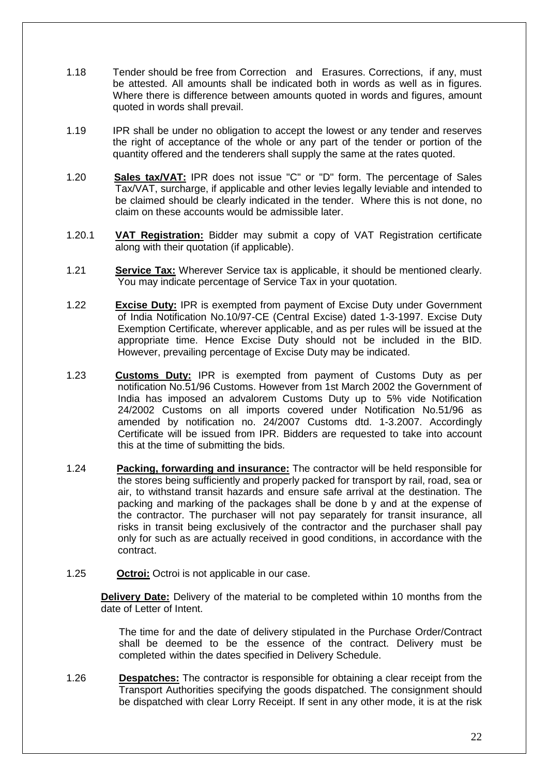- 1.18 Tender should be free from Correction and Erasures. Corrections, if any, must be attested. All amounts shall be indicated both in words as well as in figures. Where there is difference between amounts quoted in words and figures, amount quoted in words shall prevail.
- 1.19 IPR shall be under no obligation to accept the lowest or any tender and reserves the right of acceptance of the whole or any part of the tender or portion of the quantity offered and the tenderers shall supply the same at the rates quoted.
- 1.20 **Sales tax/VAT:** IPR does not issue "C" or "D" form. The percentage of Sales Tax/VAT, surcharge, if applicable and other levies legally leviable and intended to be claimed should be clearly indicated in the tender. Where this is not done, no claim on these accounts would be admissible later.
- 1.20.1 **VAT Registration:** Bidder may submit a copy of VAT Registration certificate along with their quotation (if applicable).
- 1.21 **Service Tax:** Wherever Service tax is applicable, it should be mentioned clearly. You may indicate percentage of Service Tax in your quotation.
- 1.22 **Excise Duty:** IPR is exempted from payment of Excise Duty under Government of India Notification No.10/97-CE (Central Excise) dated 1-3-1997. Excise Duty Exemption Certificate, wherever applicable, and as per rules will be issued at the appropriate time. Hence Excise Duty should not be included in the BID. However, prevailing percentage of Excise Duty may be indicated.
- 1.23 **Customs Duty:** IPR is exempted from payment of Customs Duty as per notification No.51/96 Customs. However from 1st March 2002 the Government of India has imposed an advalorem Customs Duty up to 5% vide Notification 24/2002 Customs on all imports covered under Notification No.51/96 as amended by notification no. 24/2007 Customs dtd. 1-3.2007. Accordingly Certificate will be issued from IPR. Bidders are requested to take into account this at the time of submitting the bids.
- 1.24 **Packing, forwarding and insurance:** The contractor will be held responsible for the stores being sufficiently and properly packed for transport by rail, road, sea or air, to withstand transit hazards and ensure safe arrival at the destination. The packing and marking of the packages shall be done b y and at the expense of the contractor. The purchaser will not pay separately for transit insurance, all risks in transit being exclusively of the contractor and the purchaser shall pay only for such as are actually received in good conditions, in accordance with the contract.
- 1.25 **Octroi:** Octroi is not applicable in our case.

**Delivery Date:** Delivery of the material to be completed within 10 months from the date of Letter of Intent.

The time for and the date of delivery stipulated in the Purchase Order/Contract shall be deemed to be the essence of the contract. Delivery must be completed within the dates specified in Delivery Schedule.

1.26 **Despatches:** The contractor is responsible for obtaining a clear receipt from the Transport Authorities specifying the goods dispatched. The consignment should be dispatched with clear Lorry Receipt. If sent in any other mode, it is at the risk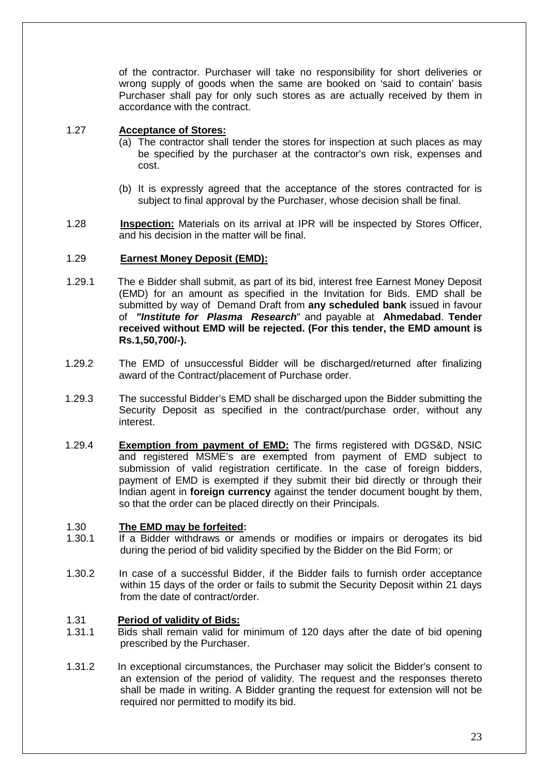of the contractor. Purchaser will take no responsibility for short deliveries or wrong supply of goods when the same are booked on 'said to contain' basis Purchaser shall pay for only such stores as are actually received by them in accordance with the contract.

## 1.27 **Acceptance of Stores:**

- (a) The contractor shall tender the stores for inspection at such places as may be specified by the purchaser at the contractor's own risk, expenses and cost.
- (b) It is expressly agreed that the acceptance of the stores contracted for is subject to final approval by the Purchaser, whose decision shall be final.
- 1.28 **Inspection:** Materials on its arrival at IPR will be inspected by Stores Officer, and his decision in the matter will be final.

# 1.29 **Earnest Money Deposit (EMD):**

- 1.29.1 The e Bidder shall submit, as part of its bid, interest free Earnest Money Deposit (EMD) for an amount as specified in the Invitation for Bids. EMD shall be submitted by way of Demand Draft from **any scheduled bank** issued in favour of **"Institute for Plasma Research**" and payable at **Ahmedabad**. **Tender received without EMD will be rejected. (For this tender, the EMD amount is Rs.1,50,700/-).**
- 1.29.2 The EMD of unsuccessful Bidder will be discharged/returned after finalizing award of the Contract/placement of Purchase order.
- 1.29.3 The successful Bidder's EMD shall be discharged upon the Bidder submitting the Security Deposit as specified in the contract/purchase order, without any interest.
- 1.29.4 **Exemption from payment of EMD:** The firms registered with DGS&D, NSIC and registered MSME's are exempted from payment of EMD subject to submission of valid registration certificate. In the case of foreign bidders, payment of EMD is exempted if they submit their bid directly or through their Indian agent in **foreign currency** against the tender document bought by them, so that the order can be placed directly on their Principals.

## 1.30 **The EMD may be forfeited:**

- 1.30.1 If a Bidder withdraws or amends or modifies or impairs or derogates its bid during the period of bid validity specified by the Bidder on the Bid Form; or
- 1.30.2 In case of a successful Bidder, if the Bidder fails to furnish order acceptance within 15 days of the order or fails to submit the Security Deposit within 21 days from the date of contract/order.

# 1.31 **Period of validity of Bids:**

- 1.31.1 Bids shall remain valid for minimum of 120 days after the date of bid opening prescribed by the Purchaser.
- 1.31.2 In exceptional circumstances, the Purchaser may solicit the Bidder's consent to an extension of the period of validity. The request and the responses thereto shall be made in writing. A Bidder granting the request for extension will not be required nor permitted to modify its bid.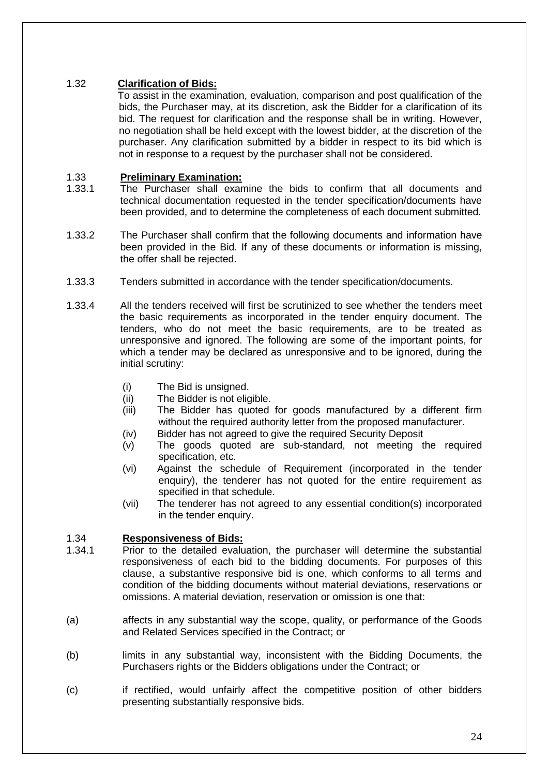# 1.32 **Clarification of Bids:**

To assist in the examination, evaluation, comparison and post qualification of the bids, the Purchaser may, at its discretion, ask the Bidder for a clarification of its bid. The request for clarification and the response shall be in writing. However, no negotiation shall be held except with the lowest bidder, at the discretion of the purchaser. Any clarification submitted by a bidder in respect to its bid which is not in response to a request by the purchaser shall not be considered.

# 1.33 **Preliminary Examination:**

- 1.33.1 The Purchaser shall examine the bids to confirm that all documents and technical documentation requested in the tender specification/documents have been provided, and to determine the completeness of each document submitted.
- 1.33.2 The Purchaser shall confirm that the following documents and information have been provided in the Bid. If any of these documents or information is missing, the offer shall be rejected.
- 1.33.3 Tenders submitted in accordance with the tender specification/documents.
- 1.33.4 All the tenders received will first be scrutinized to see whether the tenders meet the basic requirements as incorporated in the tender enquiry document. The tenders, who do not meet the basic requirements, are to be treated as unresponsive and ignored. The following are some of the important points, for which a tender may be declared as unresponsive and to be ignored, during the initial scrutiny:
	- (i) The Bid is unsigned.
	- (ii) The Bidder is not eligible.
	- (iii) The Bidder has quoted for goods manufactured by a different firm without the required authority letter from the proposed manufacturer.
	- (iv) Bidder has not agreed to give the required Security Deposit
	- (v) The goods quoted are sub-standard, not meeting the required specification, etc.
	- (vi) Against the schedule of Requirement (incorporated in the tender enquiry), the tenderer has not quoted for the entire requirement as specified in that schedule.
	- (vii) The tenderer has not agreed to any essential condition(s) incorporated in the tender enquiry.

# 1.34 **Responsiveness of Bids:**

- Prior to the detailed evaluation, the purchaser will determine the substantial responsiveness of each bid to the bidding documents. For purposes of this clause, a substantive responsive bid is one, which conforms to all terms and condition of the bidding documents without material deviations, reservations or omissions. A material deviation, reservation or omission is one that:
- (a) affects in any substantial way the scope, quality, or performance of the Goods and Related Services specified in the Contract; or
- (b) limits in any substantial way, inconsistent with the Bidding Documents, the Purchasers rights or the Bidders obligations under the Contract; or
- (c) if rectified, would unfairly affect the competitive position of other bidders presenting substantially responsive bids.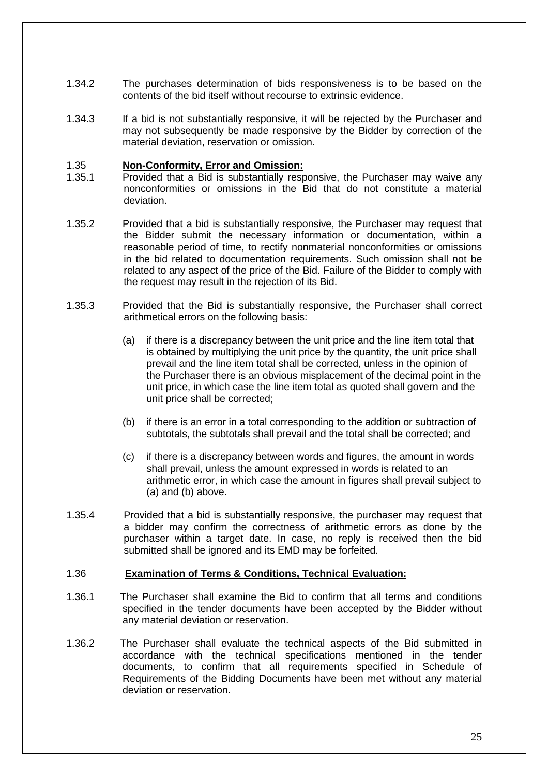- 1.34.2 The purchases determination of bids responsiveness is to be based on the contents of the bid itself without recourse to extrinsic evidence.
- 1.34.3 If a bid is not substantially responsive, it will be rejected by the Purchaser and may not subsequently be made responsive by the Bidder by correction of the material deviation, reservation or omission.

#### 1.35 **Non-Conformity, Error and Omission:**

- 1.35.1 Provided that a Bid is substantially responsive, the Purchaser may waive any nonconformities or omissions in the Bid that do not constitute a material deviation.
- 1.35.2 Provided that a bid is substantially responsive, the Purchaser may request that the Bidder submit the necessary information or documentation, within a reasonable period of time, to rectify nonmaterial nonconformities or omissions in the bid related to documentation requirements. Such omission shall not be related to any aspect of the price of the Bid. Failure of the Bidder to comply with the request may result in the rejection of its Bid.
- 1.35.3 Provided that the Bid is substantially responsive, the Purchaser shall correct arithmetical errors on the following basis:
	- (a) if there is a discrepancy between the unit price and the line item total that is obtained by multiplying the unit price by the quantity, the unit price shall prevail and the line item total shall be corrected, unless in the opinion of the Purchaser there is an obvious misplacement of the decimal point in the unit price, in which case the line item total as quoted shall govern and the unit price shall be corrected;
	- (b) if there is an error in a total corresponding to the addition or subtraction of subtotals, the subtotals shall prevail and the total shall be corrected; and
	- (c) if there is a discrepancy between words and figures, the amount in words shall prevail, unless the amount expressed in words is related to an arithmetic error, in which case the amount in figures shall prevail subject to (a) and (b) above.
- 1.35.4 Provided that a bid is substantially responsive, the purchaser may request that a bidder may confirm the correctness of arithmetic errors as done by the purchaser within a target date. In case, no reply is received then the bid submitted shall be ignored and its EMD may be forfeited.

#### 1.36 **Examination of Terms & Conditions, Technical Evaluation:**

- 1.36.1 The Purchaser shall examine the Bid to confirm that all terms and conditions specified in the tender documents have been accepted by the Bidder without any material deviation or reservation.
- 1.36.2 The Purchaser shall evaluate the technical aspects of the Bid submitted in accordance with the technical specifications mentioned in the tender documents, to confirm that all requirements specified in Schedule of Requirements of the Bidding Documents have been met without any material deviation or reservation.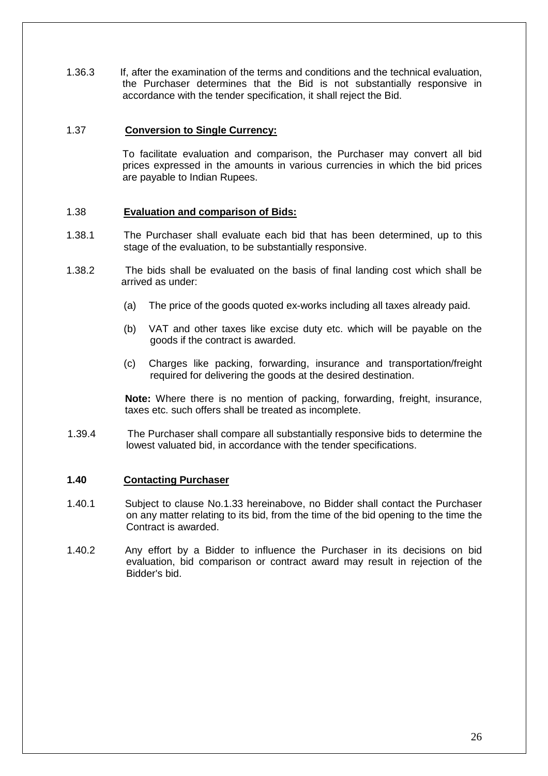1.36.3 If, after the examination of the terms and conditions and the technical evaluation, the Purchaser determines that the Bid is not substantially responsive in accordance with the tender specification, it shall reject the Bid.

#### 1.37 **Conversion to Single Currency:**

 To facilitate evaluation and comparison, the Purchaser may convert all bid prices expressed in the amounts in various currencies in which the bid prices are payable to Indian Rupees.

#### 1.38 **Evaluation and comparison of Bids:**

- 1.38.1 The Purchaser shall evaluate each bid that has been determined, up to this stage of the evaluation, to be substantially responsive.
- 1.38.2 The bids shall be evaluated on the basis of final landing cost which shall be arrived as under:
	- (a) The price of the goods quoted ex-works including all taxes already paid.
	- (b) VAT and other taxes like excise duty etc. which will be payable on the goods if the contract is awarded.
	- (c) Charges like packing, forwarding, insurance and transportation/freight required for delivering the goods at the desired destination.

**Note:** Where there is no mention of packing, forwarding, freight, insurance, taxes etc. such offers shall be treated as incomplete.

1.39.4 The Purchaser shall compare all substantially responsive bids to determine the lowest valuated bid, in accordance with the tender specifications.

#### **1.40 Contacting Purchaser**

- 1.40.1 Subject to clause No.1.33 hereinabove, no Bidder shall contact the Purchaser on any matter relating to its bid, from the time of the bid opening to the time the Contract is awarded.
- 1.40.2 Any effort by a Bidder to influence the Purchaser in its decisions on bid evaluation, bid comparison or contract award may result in rejection of the Bidder's bid.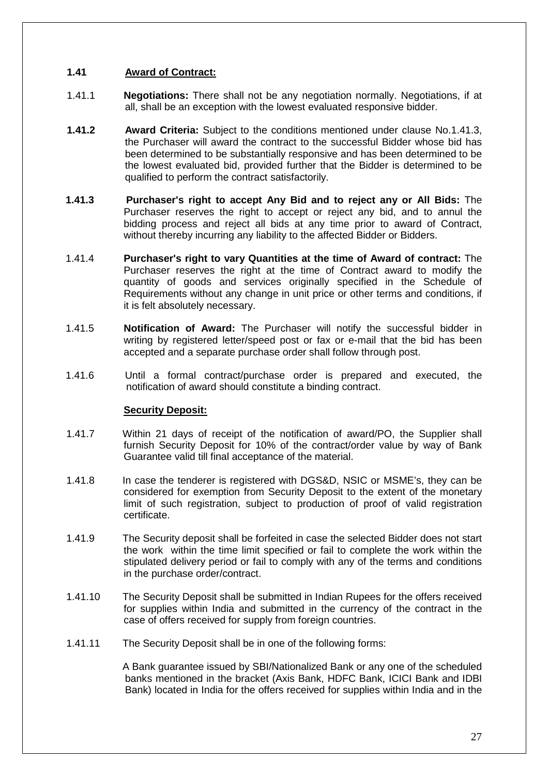# **1.41 Award of Contract:**

- 1.41.1 **Negotiations:** There shall not be any negotiation normally. Negotiations, if at all, shall be an exception with the lowest evaluated responsive bidder.
- **1.41.2 Award Criteria:** Subject to the conditions mentioned under clause No.1.41.3, the Purchaser will award the contract to the successful Bidder whose bid has been determined to be substantially responsive and has been determined to be the lowest evaluated bid, provided further that the Bidder is determined to be qualified to perform the contract satisfactorily.
- **1.41.3 Purchaser's right to accept Any Bid and to reject any or All Bids:** The Purchaser reserves the right to accept or reject any bid, and to annul the bidding process and reject all bids at any time prior to award of Contract, without thereby incurring any liability to the affected Bidder or Bidders.
- 1.41.4 **Purchaser's right to vary Quantities at the time of Award of contract:** The Purchaser reserves the right at the time of Contract award to modify the quantity of goods and services originally specified in the Schedule of Requirements without any change in unit price or other terms and conditions, if it is felt absolutely necessary.
- 1.41.5 **Notification of Award:** The Purchaser will notify the successful bidder in writing by registered letter/speed post or fax or e-mail that the bid has been accepted and a separate purchase order shall follow through post.
- 1.41.6 Until a formal contract/purchase order is prepared and executed, the notification of award should constitute a binding contract.

## **Security Deposit:**

- 1.41.7 Within 21 days of receipt of the notification of award/PO, the Supplier shall furnish Security Deposit for 10% of the contract/order value by way of Bank Guarantee valid till final acceptance of the material.
- 1.41.8 In case the tenderer is registered with DGS&D, NSIC or MSME's, they can be considered for exemption from Security Deposit to the extent of the monetary limit of such registration, subject to production of proof of valid registration certificate.
- 1.41.9 The Security deposit shall be forfeited in case the selected Bidder does not start the work within the time limit specified or fail to complete the work within the stipulated delivery period or fail to comply with any of the terms and conditions in the purchase order/contract.
- 1.41.10 The Security Deposit shall be submitted in Indian Rupees for the offers received for supplies within India and submitted in the currency of the contract in the case of offers received for supply from foreign countries.
- 1.41.11 The Security Deposit shall be in one of the following forms:

 A Bank guarantee issued by SBI/Nationalized Bank or any one of the scheduled banks mentioned in the bracket (Axis Bank, HDFC Bank, ICICI Bank and IDBI Bank) located in India for the offers received for supplies within India and in the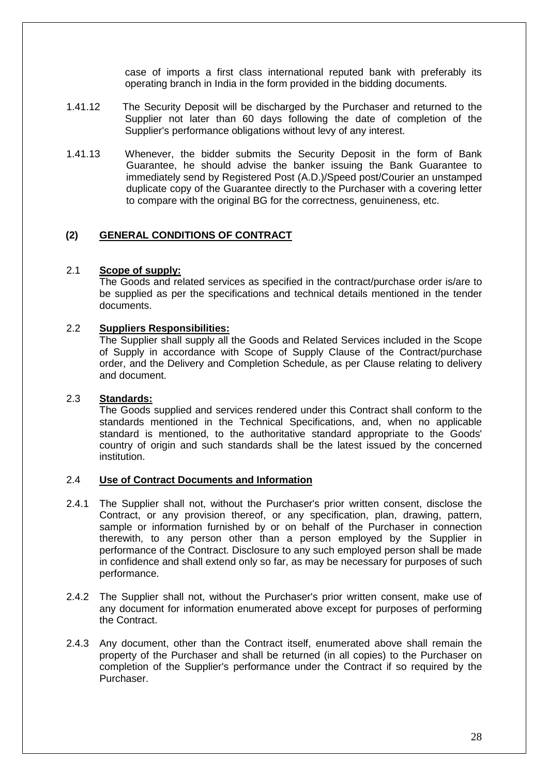case of imports a first class international reputed bank with preferably its operating branch in India in the form provided in the bidding documents.

- 1.41.12 The Security Deposit will be discharged by the Purchaser and returned to the Supplier not later than 60 days following the date of completion of the Supplier's performance obligations without levy of any interest.
- 1.41.13 Whenever, the bidder submits the Security Deposit in the form of Bank Guarantee, he should advise the banker issuing the Bank Guarantee to immediately send by Registered Post (A.D.)/Speed post/Courier an unstamped duplicate copy of the Guarantee directly to the Purchaser with a covering letter to compare with the original BG for the correctness, genuineness, etc.

# **(2) GENERAL CONDITIONS OF CONTRACT**

#### 2.1 **Scope of supply:**

The Goods and related services as specified in the contract/purchase order is/are to be supplied as per the specifications and technical details mentioned in the tender documents.

#### 2.2 **Suppliers Responsibilities:**

The Supplier shall supply all the Goods and Related Services included in the Scope of Supply in accordance with Scope of Supply Clause of the Contract/purchase order, and the Delivery and Completion Schedule, as per Clause relating to delivery and document.

## 2.3 **Standards:**

The Goods supplied and services rendered under this Contract shall conform to the standards mentioned in the Technical Specifications, and, when no applicable standard is mentioned, to the authoritative standard appropriate to the Goods' country of origin and such standards shall be the latest issued by the concerned institution.

# 2.4 **Use of Contract Documents and Information**

- 2.4.1 The Supplier shall not, without the Purchaser's prior written consent, disclose the Contract, or any provision thereof, or any specification, plan, drawing, pattern, sample or information furnished by or on behalf of the Purchaser in connection therewith, to any person other than a person employed by the Supplier in performance of the Contract. Disclosure to any such employed person shall be made in confidence and shall extend only so far, as may be necessary for purposes of such performance.
- 2.4.2 The Supplier shall not, without the Purchaser's prior written consent, make use of any document for information enumerated above except for purposes of performing the Contract.
- 2.4.3 Any document, other than the Contract itself, enumerated above shall remain the property of the Purchaser and shall be returned (in all copies) to the Purchaser on completion of the Supplier's performance under the Contract if so required by the Purchaser.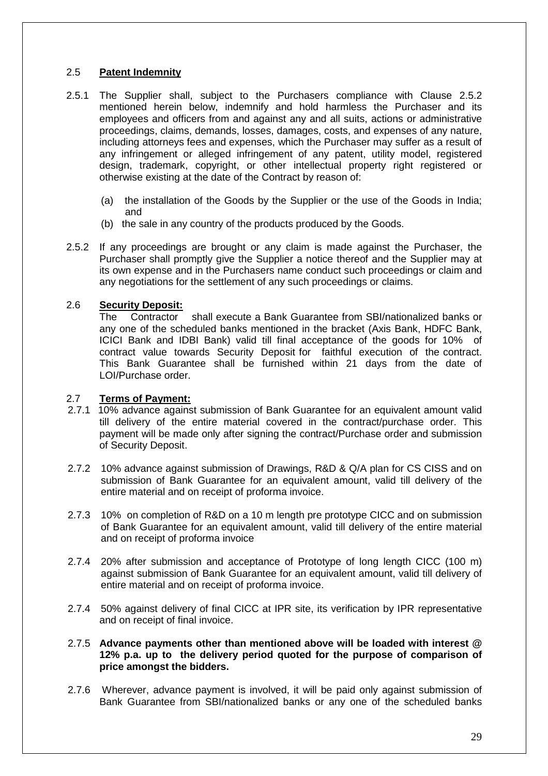# 2.5 **Patent Indemnity**

- 2.5.1 The Supplier shall, subject to the Purchasers compliance with Clause 2.5.2 mentioned herein below, indemnify and hold harmless the Purchaser and its employees and officers from and against any and all suits, actions or administrative proceedings, claims, demands, losses, damages, costs, and expenses of any nature, including attorneys fees and expenses, which the Purchaser may suffer as a result of any infringement or alleged infringement of any patent, utility model, registered design, trademark, copyright, or other intellectual property right registered or otherwise existing at the date of the Contract by reason of:
	- (a) the installation of the Goods by the Supplier or the use of the Goods in India; and
	- (b) the sale in any country of the products produced by the Goods.
- 2.5.2 If any proceedings are brought or any claim is made against the Purchaser, the Purchaser shall promptly give the Supplier a notice thereof and the Supplier may at its own expense and in the Purchasers name conduct such proceedings or claim and any negotiations for the settlement of any such proceedings or claims.

# 2.6 **Security Deposit:**

 The Contractor shall execute a Bank Guarantee from SBI/nationalized banks or any one of the scheduled banks mentioned in the bracket (Axis Bank, HDFC Bank, ICICI Bank and IDBI Bank) valid till final acceptance of the goods for 10% of contract value towards Security Deposit for faithful execution of the contract. This Bank Guarantee shall be furnished within 21 days from the date of LOI/Purchase order.

## 2.7 **Terms of Payment:**

- 2.7.1 10% advance against submission of Bank Guarantee for an equivalent amount valid till delivery of the entire material covered in the contract/purchase order. This payment will be made only after signing the contract/Purchase order and submission of Security Deposit.
- 2.7.2 10% advance against submission of Drawings, R&D & Q/A plan for CS CISS and on submission of Bank Guarantee for an equivalent amount, valid till delivery of the entire material and on receipt of proforma invoice.
- 2.7.3 10% on completion of R&D on a 10 m length pre prototype CICC and on submission of Bank Guarantee for an equivalent amount, valid till delivery of the entire material and on receipt of proforma invoice
- 2.7.4 20% after submission and acceptance of Prototype of long length CICC (100 m) against submission of Bank Guarantee for an equivalent amount, valid till delivery of entire material and on receipt of proforma invoice.
- 2.7.4 50% against delivery of final CICC at IPR site, its verification by IPR representative and on receipt of final invoice.

#### 2.7.5 **Advance payments other than mentioned above will be loaded with interest @ 12% p.a. up to the delivery period quoted for the purpose of comparison of price amongst the bidders.**

2.7.6 Wherever, advance payment is involved, it will be paid only against submission of Bank Guarantee from SBI/nationalized banks or any one of the scheduled banks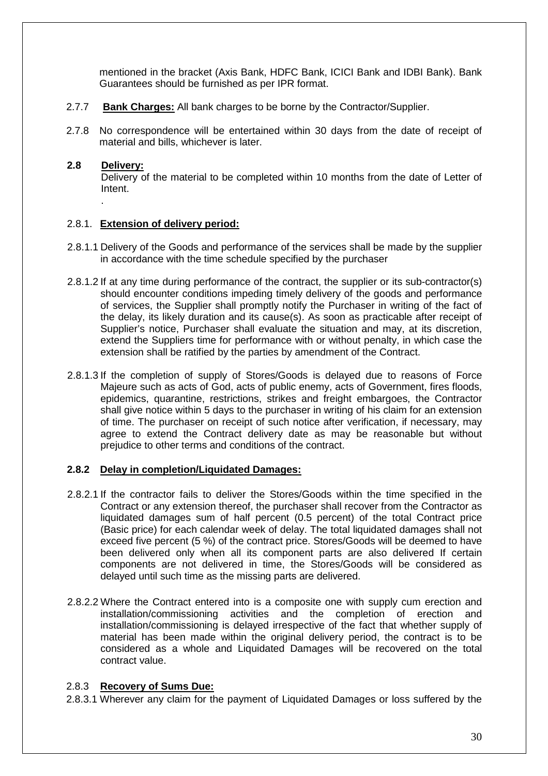mentioned in the bracket (Axis Bank, HDFC Bank, ICICI Bank and IDBI Bank). Bank Guarantees should be furnished as per IPR format.

- 2.7.7 **Bank Charges:** All bank charges to be borne by the Contractor/Supplier.
- 2.7.8 No correspondence will be entertained within 30 days from the date of receipt of material and bills, whichever is later.

# **2.8 Delivery:**

.

Delivery of the material to be completed within 10 months from the date of Letter of Intent.

# 2.8.1. **Extension of delivery period:**

- 2.8.1.1 Delivery of the Goods and performance of the services shall be made by the supplier in accordance with the time schedule specified by the purchaser
- 2.8.1.2 If at any time during performance of the contract, the supplier or its sub-contractor(s) should encounter conditions impeding timely delivery of the goods and performance of services, the Supplier shall promptly notify the Purchaser in writing of the fact of the delay, its likely duration and its cause(s). As soon as practicable after receipt of Supplier's notice, Purchaser shall evaluate the situation and may, at its discretion, extend the Suppliers time for performance with or without penalty, in which case the extension shall be ratified by the parties by amendment of the Contract.
- 2.8.1.3 If the completion of supply of Stores/Goods is delayed due to reasons of Force Majeure such as acts of God, acts of public enemy, acts of Government, fires floods, epidemics, quarantine, restrictions, strikes and freight embargoes, the Contractor shall give notice within 5 days to the purchaser in writing of his claim for an extension of time. The purchaser on receipt of such notice after verification, if necessary, may agree to extend the Contract delivery date as may be reasonable but without prejudice to other terms and conditions of the contract.

## **2.8.2 Delay in completion/Liquidated Damages:**

- 2.8.2.1 If the contractor fails to deliver the Stores/Goods within the time specified in the Contract or any extension thereof, the purchaser shall recover from the Contractor as liquidated damages sum of half percent (0.5 percent) of the total Contract price (Basic price) for each calendar week of delay. The total liquidated damages shall not exceed five percent (5 %) of the contract price. Stores/Goods will be deemed to have been delivered only when all its component parts are also delivered If certain components are not delivered in time, the Stores/Goods will be considered as delayed until such time as the missing parts are delivered.
- 2.8.2.2 Where the Contract entered into is a composite one with supply cum erection and installation/commissioning activities and the completion of erection and installation/commissioning is delayed irrespective of the fact that whether supply of material has been made within the original delivery period, the contract is to be considered as a whole and Liquidated Damages will be recovered on the total contract value.

# 2.8.3 **Recovery of Sums Due:**

2.8.3.1 Wherever any claim for the payment of Liquidated Damages or loss suffered by the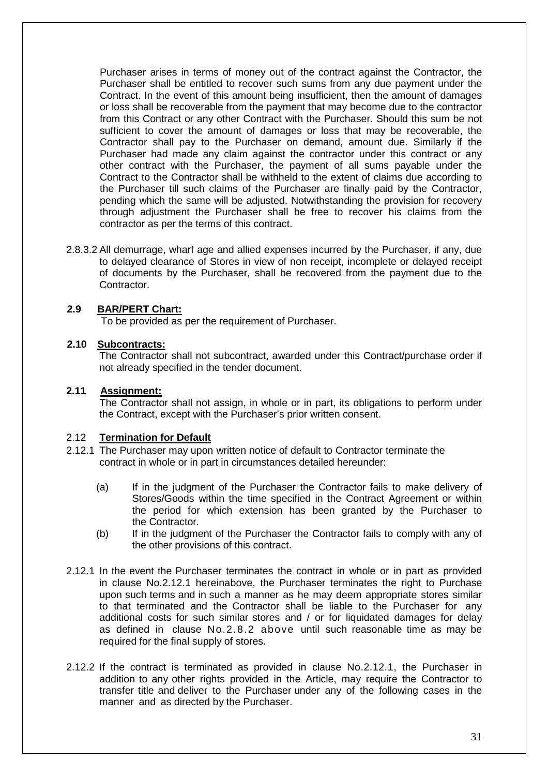Purchaser arises in terms of money out of the contract against the Contractor, the Purchaser shall be entitled to recover such sums from any due payment under the Contract. In the event of this amount being insufficient, then the amount of damages or loss shall be recoverable from the payment that may become due to the contractor from this Contract or any other Contract with the Purchaser. Should this sum be not sufficient to cover the amount of damages or loss that may be recoverable, the Contractor shall pay to the Purchaser on demand, amount due. Similarly if the Purchaser had made any claim against the contractor under this contract or any other contract with the Purchaser, the payment of all sums payable under the Contract to the Contractor shall be withheld to the extent of claims due according to the Purchaser till such claims of the Purchaser are finally paid by the Contractor, pending which the same will be adjusted. Notwithstanding the provision for recovery through adjustment the Purchaser shall be free to recover his claims from the contractor as per the terms of this contract.

2.8.3.2 All demurrage, wharf age and allied expenses incurred by the Purchaser, if any, due to delayed clearance of Stores in view of non receipt, incomplete or delayed receipt of documents by the Purchaser, shall be recovered from the payment due to the Contractor.

## **2.9 BAR/PERT Chart:**

To be provided as per the requirement of Purchaser.

#### **2.10 Subcontracts:**

The Contractor shall not subcontract, awarded under this Contract/purchase order if not already specified in the tender document.

#### **2.11 Assignment:**

The Contractor shall not assign, in whole or in part, its obligations to perform under the Contract, except with the Purchaser's prior written consent.

## 2.12 **Termination for Default**

- 2.12.1 The Purchaser may upon written notice of default to Contractor terminate the contract in whole or in part in circumstances detailed hereunder:
	- (a) If in the judgment of the Purchaser the Contractor fails to make delivery of Stores/Goods within the time specified in the Contract Agreement or within the period for which extension has been granted by the Purchaser to the Contractor.
	- (b) If in the judgment of the Purchaser the Contractor fails to comply with any of the other provisions of this contract.
- 2.12.1 In the event the Purchaser terminates the contract in whole or in part as provided in clause No.2.12.1 hereinabove, the Purchaser terminates the right to Purchase upon such terms and in such a manner as he may deem appropriate stores similar to that terminated and the Contractor shall be liable to the Purchaser for any additional costs for such similar stores and / or for liquidated damages for delay as defined in clause No.2.8.2 above until such reasonable time as may be required for the final supply of stores.
- 2.12.2 If the contract is terminated as provided in clause No.2.12.1, the Purchaser in addition to any other rights provided in the Article, may require the Contractor to transfer title and deliver to the Purchaser under any of the following cases in the manner and as directed by the Purchaser.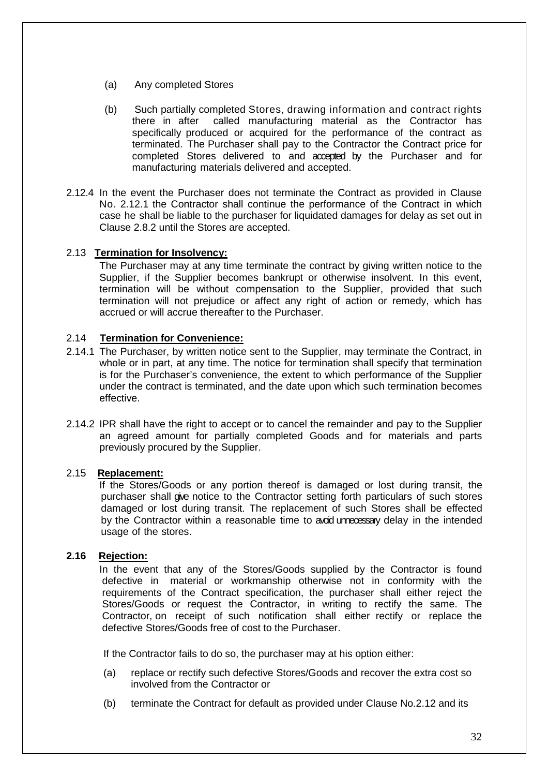- (a) Any completed Stores
- (b) Such partially completed Stores, drawing information and contract rights there in after called manufacturing material as the Contractor has specifically produced or acquired for the performance of the contract as terminated. The Purchaser shall pay to the Contractor the Contract price for completed Stores delivered to and accepted by the Purchaser and for manufacturing materials delivered and accepted.
- 2.12.4 In the event the Purchaser does not terminate the Contract as provided in Clause No. 2.12.1 the Contractor shall continue the performance of the Contract in which case he shall be liable to the purchaser for liquidated damages for delay as set out in Clause 2.8.2 until the Stores are accepted.

## 2.13 **Termination for Insolvency:**

The Purchaser may at any time terminate the contract by giving written notice to the Supplier, if the Supplier becomes bankrupt or otherwise insolvent. In this event, termination will be without compensation to the Supplier, provided that such termination will not prejudice or affect any right of action or remedy, which has accrued or will accrue thereafter to the Purchaser.

# 2.14 **Termination for Convenience:**

- 2.14.1 The Purchaser, by written notice sent to the Supplier, may terminate the Contract, in whole or in part, at any time. The notice for termination shall specify that termination is for the Purchaser's convenience, the extent to which performance of the Supplier under the contract is terminated, and the date upon which such termination becomes effective.
- 2.14.2 IPR shall have the right to accept or to cancel the remainder and pay to the Supplier an agreed amount for partially completed Goods and for materials and parts previously procured by the Supplier.

## 2.15 **Replacement:**

If the Stores/Goods or any portion thereof is damaged or lost during transit, the purchaser shall give notice to the Contractor setting forth particulars of such stores damaged or lost during transit. The replacement of such Stores shall be effected by the Contractor within a reasonable time to avoid unnecessary delay in the intended usage of the stores.

## **2.16 Rejection:**

In the event that any of the Stores/Goods supplied by the Contractor is found defective in material or workmanship otherwise not in conformity with the requirements of the Contract specification, the purchaser shall either reject the Stores/Goods or request the Contractor, in writing to rectify the same. The Contractor, on receipt of such notification shall either rectify or replace the defective Stores/Goods free of cost to the Purchaser.

If the Contractor fails to do so, the purchaser may at his option either:

- (a) replace or rectify such defective Stores/Goods and recover the extra cost so involved from the Contractor or
- (b) terminate the Contract for default as provided under Clause No.2.12 and its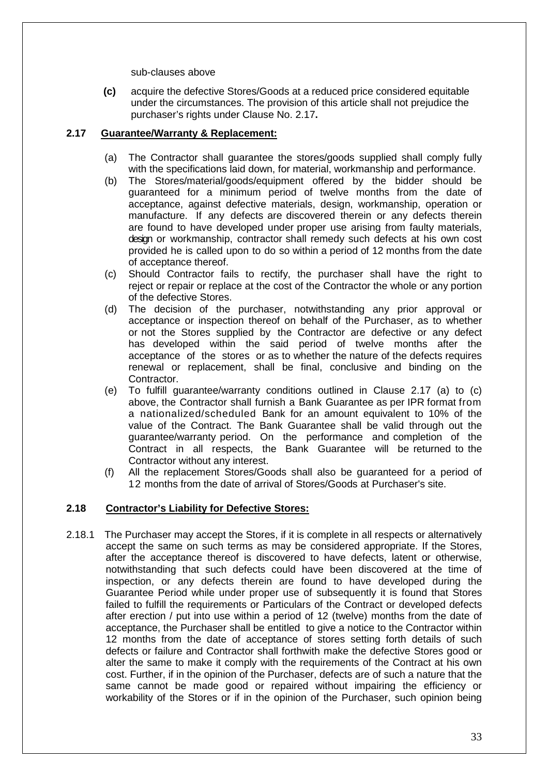sub-clauses above

**(c)** acquire the defective Stores/Goods at a reduced price considered equitable under the circumstances. The provision of this article shall not prejudice the purchaser's rights under Clause No. 2.17**.** 

# **2.17 Guarantee/Warranty & Replacement:**

- (a) The Contractor shall guarantee the stores/goods supplied shall comply fully with the specifications laid down, for material, workmanship and performance.
- (b) The Stores/material/goods/equipment offered by the bidder should be guaranteed for a minimum period of twelve months from the date of acceptance, against defective materials, design, workmanship, operation or manufacture. If any defects are discovered therein or any defects therein are found to have developed under proper use arising from faulty materials, design or workmanship, contractor shall remedy such defects at his own cost provided he is called upon to do so within a period of 12 months from the date of acceptance thereof.
- (c) Should Contractor fails to rectify, the purchaser shall have the right to reject or repair or replace at the cost of the Contractor the whole or any portion of the defective Stores.
- (d) The decision of the purchaser, notwithstanding any prior approval or acceptance or inspection thereof on behalf of the Purchaser, as to whether or not the Stores supplied by the Contractor are defective or any defect has developed within the said period of twelve months after the acceptance of the stores or as to whether the nature of the defects requires renewal or replacement, shall be final, conclusive and binding on the Contractor.
- (e) To fulfill guarantee/warranty conditions outlined in Clause 2.17 (a) to (c) above, the Contractor shall furnish a Bank Guarantee as per IPR format from a nationalized/scheduled Bank for an amount equivalent to 10% of the value of the Contract. The Bank Guarantee shall be valid through out the guarantee/warranty period. On the performance and completion of the Contract in all respects, the Bank Guarantee will be returned to the Contractor without any interest.
- (f) All the replacement Stores/Goods shall also be guaranteed for a period of 12 months from the date of arrival of Stores/Goods at Purchaser's site.

## **2.18 Contractor's Liability for Defective Stores:**

2.18.1 The Purchaser may accept the Stores, if it is complete in all respects or alternatively accept the same on such terms as may be considered appropriate. If the Stores, after the acceptance thereof is discovered to have defects, latent or otherwise, notwithstanding that such defects could have been discovered at the time of inspection, or any defects therein are found to have developed during the Guarantee Period while under proper use of subsequently it is found that Stores failed to fulfill the requirements or Particulars of the Contract or developed defects after erection / put into use within a period of 12 (twelve) months from the date of acceptance, the Purchaser shall be entitled to give a notice to the Contractor within 12 months from the date of acceptance of stores setting forth details of such defects or failure and Contractor shall forthwith make the defective Stores good or alter the same to make it comply with the requirements of the Contract at his own cost. Further, if in the opinion of the Purchaser, defects are of such a nature that the same cannot be made good or repaired without impairing the efficiency or workability of the Stores or if in the opinion of the Purchaser, such opinion being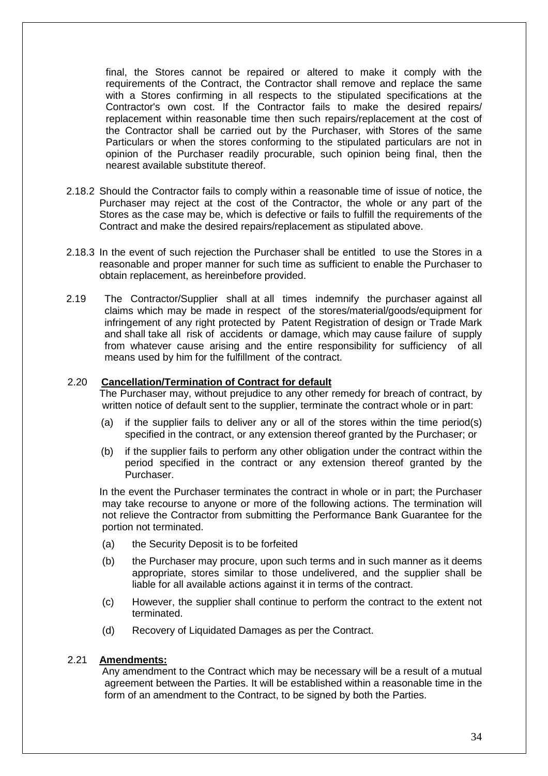final, the Stores cannot be repaired or altered to make it comply with the requirements of the Contract, the Contractor shall remove and replace the same with a Stores confirming in all respects to the stipulated specifications at the Contractor's own cost. If the Contractor fails to make the desired repairs/ replacement within reasonable time then such repairs/replacement at the cost of the Contractor shall be carried out by the Purchaser, with Stores of the same Particulars or when the stores conforming to the stipulated particulars are not in opinion of the Purchaser readily procurable, such opinion being final, then the nearest available substitute thereof.

- 2.18.2 Should the Contractor fails to comply within a reasonable time of issue of notice, the Purchaser may reject at the cost of the Contractor, the whole or any part of the Stores as the case may be, which is defective or fails to fulfill the requirements of the Contract and make the desired repairs/replacement as stipulated above.
- 2.18.3 In the event of such rejection the Purchaser shall be entitled to use the Stores in a reasonable and proper manner for such time as sufficient to enable the Purchaser to obtain replacement, as hereinbefore provided.
- 2.19 The Contractor/Supplier shall at all times indemnify the purchaser against all claims which may be made in respect of the stores/material/goods/equipment for infringement of any right protected by Patent Registration of design or Trade Mark and shall take all risk of accidents or damage, which may cause failure of supply from whatever cause arising and the entire responsibility for sufficiency of all means used by him for the fulfillment of the contract.

#### 2.20 **Cancellation/Termination of Contract for default**

The Purchaser may, without prejudice to any other remedy for breach of contract, by written notice of default sent to the supplier, terminate the contract whole or in part:

- (a) if the supplier fails to deliver any or all of the stores within the time period(s) specified in the contract, or any extension thereof granted by the Purchaser; or
- (b) if the supplier fails to perform any other obligation under the contract within the period specified in the contract or any extension thereof granted by the Purchaser.

In the event the Purchaser terminates the contract in whole or in part; the Purchaser may take recourse to anyone or more of the following actions. The termination will not relieve the Contractor from submitting the Performance Bank Guarantee for the portion not terminated.

- (a) the Security Deposit is to be forfeited
- (b) the Purchaser may procure, upon such terms and in such manner as it deems appropriate, stores similar to those undelivered, and the supplier shall be liable for all available actions against it in terms of the contract.
- (c) However, the supplier shall continue to perform the contract to the extent not terminated.
- (d) Recovery of Liquidated Damages as per the Contract.

#### 2.21 **Amendments:**

 Any amendment to the Contract which may be necessary will be a result of a mutual agreement between the Parties. It will be established within a reasonable time in the form of an amendment to the Contract, to be signed by both the Parties.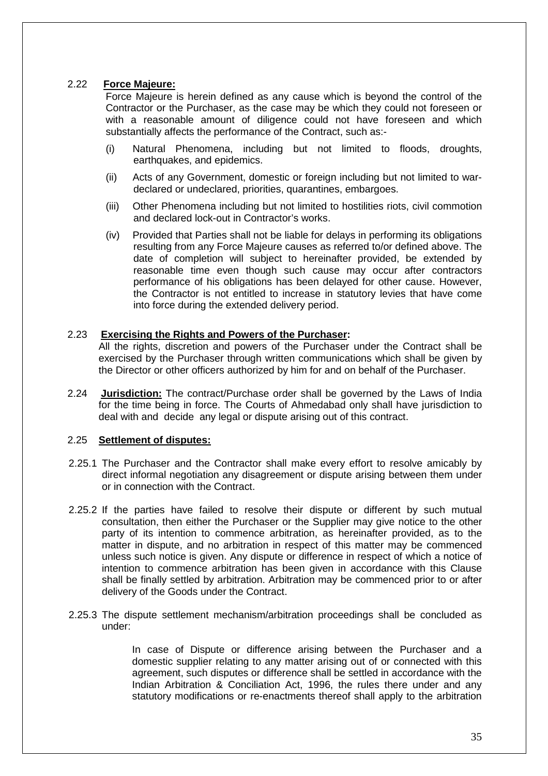# 2.22 **Force Majeure:**

Force Majeure is herein defined as any cause which is beyond the control of the Contractor or the Purchaser, as the case may be which they could not foreseen or with a reasonable amount of diligence could not have foreseen and which substantially affects the performance of the Contract, such as:-

- (i) Natural Phenomena, including but not limited to floods, droughts, earthquakes, and epidemics.
- (ii) Acts of any Government, domestic or foreign including but not limited to wardeclared or undeclared, priorities, quarantines, embargoes.
- (iii) Other Phenomena including but not limited to hostilities riots, civil commotion and declared lock-out in Contractor's works.
- (iv) Provided that Parties shall not be liable for delays in performing its obligations resulting from any Force Majeure causes as referred to/or defined above. The date of completion will subject to hereinafter provided, be extended by reasonable time even though such cause may occur after contractors performance of his obligations has been delayed for other cause. However, the Contractor is not entitled to increase in statutory levies that have come into force during the extended delivery period.

#### 2.23 **Exercising the Rights and Powers of the Purchaser:**

All the rights, discretion and powers of the Purchaser under the Contract shall be exercised by the Purchaser through written communications which shall be given by the Director or other officers authorized by him for and on behalf of the Purchaser.

2.24 **Jurisdiction:** The contract/Purchase order shall be governed by the Laws of India for the time being in force. The Courts of Ahmedabad only shall have jurisdiction to deal with and decide any legal or dispute arising out of this contract.

## 2.25 **Settlement of disputes:**

- 2.25.1 The Purchaser and the Contractor shall make every effort to resolve amicably by direct informal negotiation any disagreement or dispute arising between them under or in connection with the Contract.
- 2.25.2 If the parties have failed to resolve their dispute or different by such mutual consultation, then either the Purchaser or the Supplier may give notice to the other party of its intention to commence arbitration, as hereinafter provided, as to the matter in dispute, and no arbitration in respect of this matter may be commenced unless such notice is given. Any dispute or difference in respect of which a notice of intention to commence arbitration has been given in accordance with this Clause shall be finally settled by arbitration. Arbitration may be commenced prior to or after delivery of the Goods under the Contract.
- 2.25.3 The dispute settlement mechanism/arbitration proceedings shall be concluded as under:

In case of Dispute or difference arising between the Purchaser and a domestic supplier relating to any matter arising out of or connected with this agreement, such disputes or difference shall be settled in accordance with the Indian Arbitration & Conciliation Act, 1996, the rules there under and any statutory modifications or re-enactments thereof shall apply to the arbitration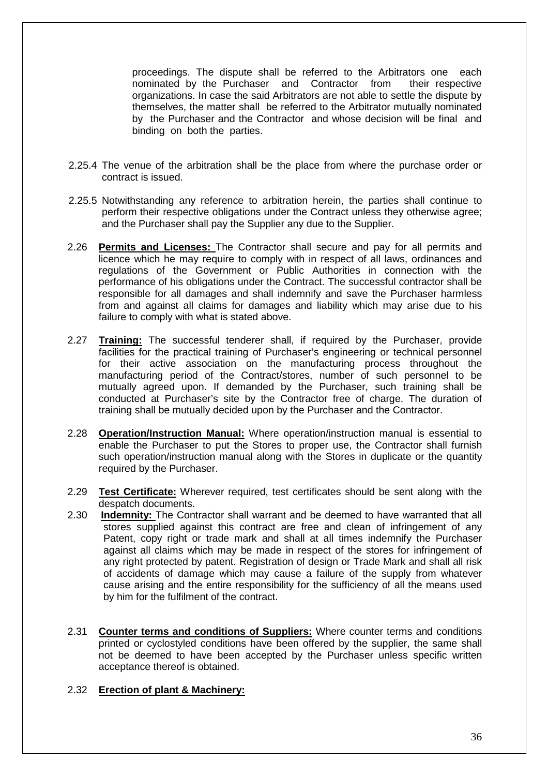proceedings. The dispute shall be referred to the Arbitrators one each nominated by the Purchaser and Contractor from their respective organizations. In case the said Arbitrators are not able to settle the dispute by themselves, the matter shall be referred to the Arbitrator mutually nominated by the Purchaser and the Contractor and whose decision will be final and binding on both the parties.

- 2.25.4 The venue of the arbitration shall be the place from where the purchase order or contract is issued.
- 2.25.5 Notwithstanding any reference to arbitration herein, the parties shall continue to perform their respective obligations under the Contract unless they otherwise agree; and the Purchaser shall pay the Supplier any due to the Supplier.
- 2.26 **Permits and Licenses:** The Contractor shall secure and pay for all permits and licence which he may require to comply with in respect of all laws, ordinances and regulations of the Government or Public Authorities in connection with the performance of his obligations under the Contract. The successful contractor shall be responsible for all damages and shall indemnify and save the Purchaser harmless from and against all claims for damages and liability which may arise due to his failure to comply with what is stated above.
- 2.27 **Training:** The successful tenderer shall, if required by the Purchaser, provide facilities for the practical training of Purchaser's engineering or technical personnel for their active association on the manufacturing process throughout the manufacturing period of the Contract/stores, number of such personnel to be mutually agreed upon. If demanded by the Purchaser, such training shall be conducted at Purchaser's site by the Contractor free of charge. The duration of training shall be mutually decided upon by the Purchaser and the Contractor.
- 2.28 **Operation/Instruction Manual:** Where operation/instruction manual is essential to enable the Purchaser to put the Stores to proper use, the Contractor shall furnish such operation/instruction manual along with the Stores in duplicate or the quantity required by the Purchaser.
- 2.29 **Test Certificate:** Wherever required, test certificates should be sent along with the despatch documents.
- 2.30 **Indemnity:** The Contractor shall warrant and be deemed to have warranted that all stores supplied against this contract are free and clean of infringement of any Patent, copy right or trade mark and shall at all times indemnify the Purchaser against all claims which may be made in respect of the stores for infringement of any right protected by patent. Registration of design or Trade Mark and shall all risk of accidents of damage which may cause a failure of the supply from whatever cause arising and the entire responsibility for the sufficiency of all the means used by him for the fulfilment of the contract.
- 2.31 **Counter terms and conditions of Suppliers:** Where counter terms and conditions printed or cyclostyled conditions have been offered by the supplier, the same shall not be deemed to have been accepted by the Purchaser unless specific written acceptance thereof is obtained.

# 2.32 **Erection of plant & Machinery:**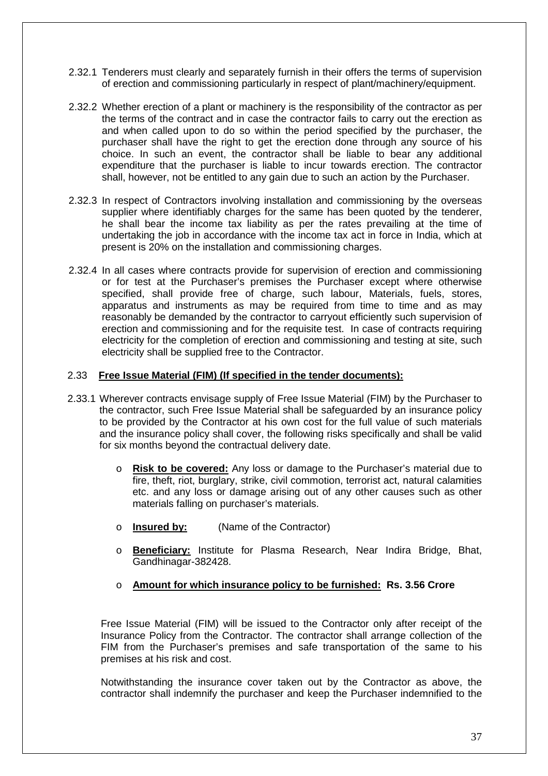- 2.32.1 Tenderers must clearly and separately furnish in their offers the terms of supervision of erection and commissioning particularly in respect of plant/machinery/equipment.
- 2.32.2 Whether erection of a plant or machinery is the responsibility of the contractor as per the terms of the contract and in case the contractor fails to carry out the erection as and when called upon to do so within the period specified by the purchaser, the purchaser shall have the right to get the erection done through any source of his choice. In such an event, the contractor shall be liable to bear any additional expenditure that the purchaser is liable to incur towards erection. The contractor shall, however, not be entitled to any gain due to such an action by the Purchaser.
- 2.32.3 In respect of Contractors involving installation and commissioning by the overseas supplier where identifiably charges for the same has been quoted by the tenderer, he shall bear the income tax liability as per the rates prevailing at the time of undertaking the job in accordance with the income tax act in force in India, which at present is 20% on the installation and commissioning charges.
- 2.32.4 In all cases where contracts provide for supervision of erection and commissioning or for test at the Purchaser's premises the Purchaser except where otherwise specified, shall provide free of charge, such labour, Materials, fuels, stores, apparatus and instruments as may be required from time to time and as may reasonably be demanded by the contractor to carryout efficiently such supervision of erection and commissioning and for the requisite test. In case of contracts requiring electricity for the completion of erection and commissioning and testing at site, such electricity shall be supplied free to the Contractor.

## 2.33 **Free Issue Material (FIM) (If specified in the tender documents):**

- 2.33.1 Wherever contracts envisage supply of Free Issue Material (FIM) by the Purchaser to the contractor, such Free Issue Material shall be safeguarded by an insurance policy to be provided by the Contractor at his own cost for the full value of such materials and the insurance policy shall cover, the following risks specifically and shall be valid for six months beyond the contractual delivery date.
	- o **Risk to be covered:** Any loss or damage to the Purchaser's material due to fire, theft, riot, burglary, strike, civil commotion, terrorist act, natural calamities etc. and any loss or damage arising out of any other causes such as other materials falling on purchaser's materials.
	- o **Insured by:** (Name of the Contractor)
	- o **Beneficiary:** Institute for Plasma Research, Near Indira Bridge, Bhat, Gandhinagar-382428.
	- o **Amount for which insurance policy to be furnished: Rs. 3.56 Crore**

Free Issue Material (FIM) will be issued to the Contractor only after receipt of the Insurance Policy from the Contractor. The contractor shall arrange collection of the FIM from the Purchaser's premises and safe transportation of the same to his premises at his risk and cost.

Notwithstanding the insurance cover taken out by the Contractor as above, the contractor shall indemnify the purchaser and keep the Purchaser indemnified to the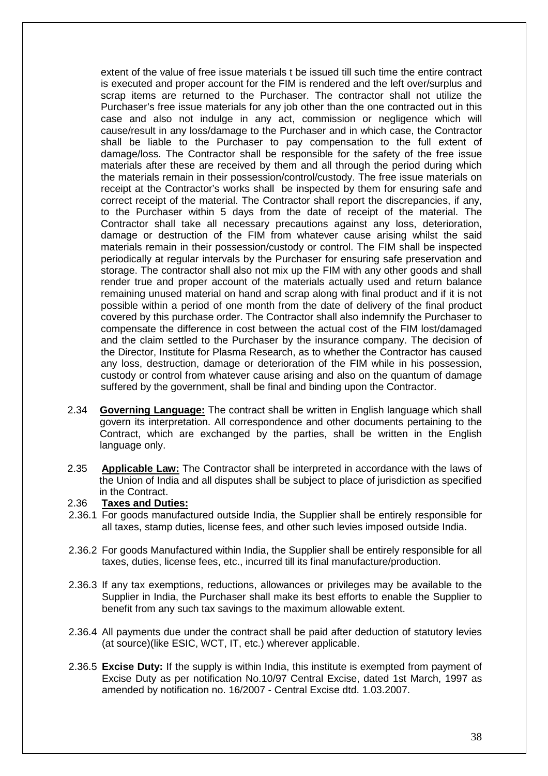extent of the value of free issue materials t be issued till such time the entire contract is executed and proper account for the FIM is rendered and the left over/surplus and scrap items are returned to the Purchaser. The contractor shall not utilize the Purchaser's free issue materials for any job other than the one contracted out in this case and also not indulge in any act, commission or negligence which will cause/result in any loss/damage to the Purchaser and in which case, the Contractor shall be liable to the Purchaser to pay compensation to the full extent of damage/loss. The Contractor shall be responsible for the safety of the free issue materials after these are received by them and all through the period during which the materials remain in their possession/control/custody. The free issue materials on receipt at the Contractor's works shall be inspected by them for ensuring safe and correct receipt of the material. The Contractor shall report the discrepancies, if any, to the Purchaser within 5 days from the date of receipt of the material. The Contractor shall take all necessary precautions against any loss, deterioration, damage or destruction of the FIM from whatever cause arising whilst the said materials remain in their possession/custody or control. The FIM shall be inspected periodically at regular intervals by the Purchaser for ensuring safe preservation and storage. The contractor shall also not mix up the FIM with any other goods and shall render true and proper account of the materials actually used and return balance remaining unused material on hand and scrap along with final product and if it is not possible within a period of one month from the date of delivery of the final product covered by this purchase order. The Contractor shall also indemnify the Purchaser to compensate the difference in cost between the actual cost of the FIM lost/damaged and the claim settled to the Purchaser by the insurance company. The decision of the Director, Institute for Plasma Research, as to whether the Contractor has caused any loss, destruction, damage or deterioration of the FIM while in his possession, custody or control from whatever cause arising and also on the quantum of damage suffered by the government, shall be final and binding upon the Contractor.

- 2.34 **Governing Language:** The contract shall be written in English language which shall govern its interpretation. All correspondence and other documents pertaining to the Contract, which are exchanged by the parties, shall be written in the English language only.
- 2.35 **Applicable Law:** The Contractor shall be interpreted in accordance with the laws of the Union of India and all disputes shall be subject to place of jurisdiction as specified in the Contract.

#### 2.36 **Taxes and Duties:**

- 2.36.1 For goods manufactured outside India, the Supplier shall be entirely responsible for all taxes, stamp duties, license fees, and other such levies imposed outside India.
- 2.36.2 For goods Manufactured within India, the Supplier shall be entirely responsible for all taxes, duties, license fees, etc., incurred till its final manufacture/production.
- 2.36.3 If any tax exemptions, reductions, allowances or privileges may be available to the Supplier in India, the Purchaser shall make its best efforts to enable the Supplier to benefit from any such tax savings to the maximum allowable extent.
- 2.36.4 All payments due under the contract shall be paid after deduction of statutory levies (at source)(like ESIC, WCT, IT, etc.) wherever applicable.
- 2.36.5 **Excise Duty:** If the supply is within India, this institute is exempted from payment of Excise Duty as per notification No.10/97 Central Excise, dated 1st March, 1997 as amended by notification no. 16/2007 - Central Excise dtd. 1.03.2007.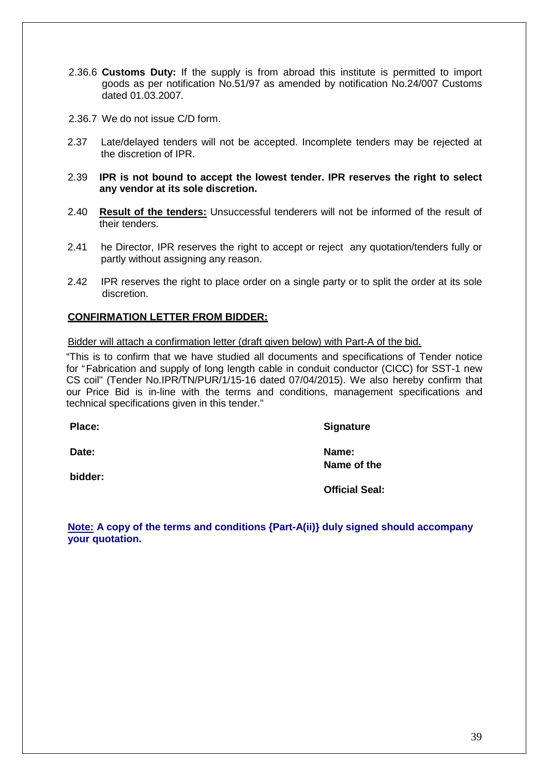- 2.36.6 **Customs Duty:** If the supply is from abroad this institute is permitted to import goods as per notification No.51/97 as amended by notification No.24/007 Customs dated 01.03.2007.
- 2.36.7 We do not issue C/D form.
- 2.37 Late/delayed tenders will not be accepted. Incomplete tenders may be rejected at the discretion of IPR.
- 2.39 **IPR is not bound to accept the lowest tender. IPR reserves the right to select any vendor at its sole discretion.**
- 2.40 **Result of the tenders:** Unsuccessful tenderers will not be informed of the result of their tenders.
- 2.41 he Director, IPR reserves the right to accept or reject any quotation/tenders fully or partly without assigning any reason.
- 2.42 IPR reserves the right to place order on a single party or to split the order at its sole discretion.

#### **CONFIRMATION LETTER FROM BIDDER:**

Bidder will attach a confirmation letter (draft given below) with Part-A of the bid.

"This is to confirm that we have studied all documents and specifications of Tender notice for "Fabrication and supply of long length cable in conduit conductor (CICC) for SST-1 new CS coil" (Tender No.IPR/TN/PUR/1/15-16 dated 07/04/2015). We also hereby confirm that our Price Bid is in-line with the terms and conditions, management specifications and technical specifications given in this tender."

**bidder:** 

Place: Signature

**Date:** Name:  **Name of the** 

 **Official Seal:** 

**Note: A copy of the terms and conditions {Part-A(ii)} duly signed should accompany your quotation.**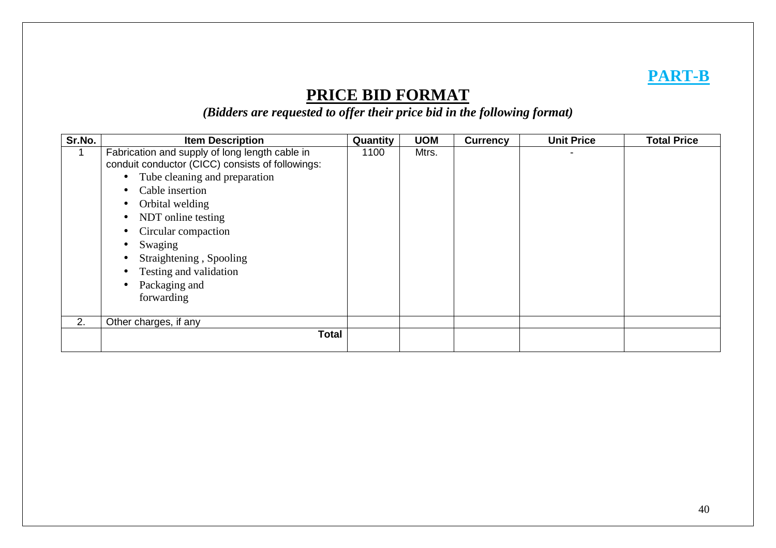# **PART-B**

# **PRICE BID FORMAT**

*(Bidders are requested to offer their price bid in the following format)* 

| Sr.No. | <b>Item Description</b>                                                                                                                                                                                                                                                                                                                                                                                                         | Quantity | <b>UOM</b> | <b>Currency</b> | <b>Unit Price</b> | <b>Total Price</b> |
|--------|---------------------------------------------------------------------------------------------------------------------------------------------------------------------------------------------------------------------------------------------------------------------------------------------------------------------------------------------------------------------------------------------------------------------------------|----------|------------|-----------------|-------------------|--------------------|
|        | Fabrication and supply of long length cable in<br>conduit conductor (CICC) consists of followings:<br>• Tube cleaning and preparation<br>Cable insertion<br>$\bullet$<br>Orbital welding<br>$\bullet$<br>NDT online testing<br>$\bullet$<br>Circular compaction<br>$\bullet$<br>Swaging<br>$\bullet$<br>Straightening, Spooling<br>$\bullet$<br>Testing and validation<br>$\bullet$<br>Packaging and<br>$\bullet$<br>forwarding | 1100     | Mtrs.      |                 |                   |                    |
| 2.     | Other charges, if any                                                                                                                                                                                                                                                                                                                                                                                                           |          |            |                 |                   |                    |
|        | <b>Total</b>                                                                                                                                                                                                                                                                                                                                                                                                                    |          |            |                 |                   |                    |